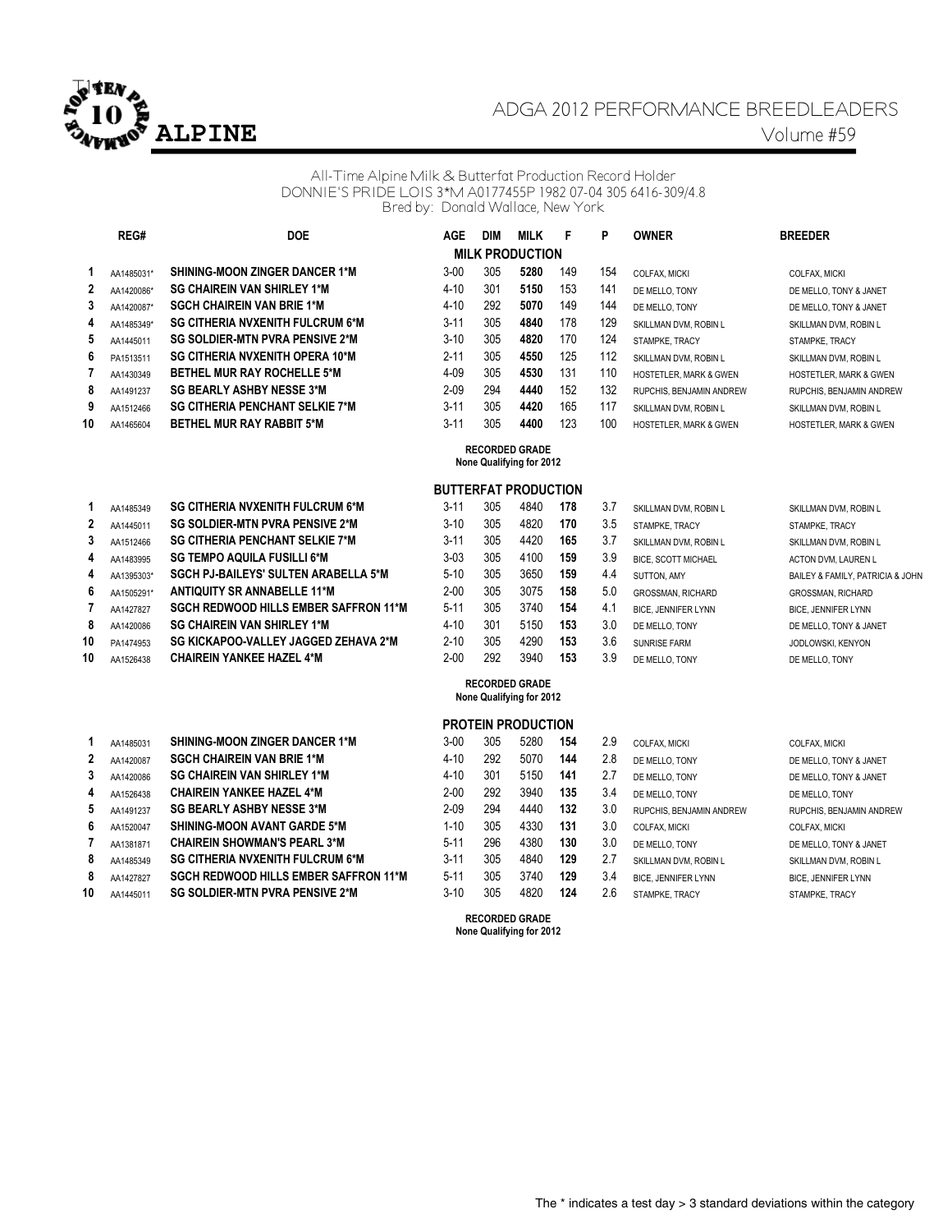

# ADGA 2012 PERFORMANCE BREEDLEADERS **ALPINE** Volume #59

### All-Time Alpine Milk & Butterfat Production Record Holder DONNIE'S PRIDE LOIS 3\*M A0177455P 1982 07-04 305 6416-309/4.8 Bred by: Donald Wallace, New York

|    | ᠁          | ◡◡                                      |
|----|------------|-----------------------------------------|
| 1  | AA1485031* | <b>SHINING-MOON ZINGER DANCER 1*M</b>   |
| 2  | AA1420086* | <b>SG CHAIREIN VAN SHIRLEY 1*M</b>      |
| 3  | AA1420087* | <b>SGCH CHAIREIN VAN BRIE 1*M</b>       |
| 4  | AA1485349* | <b>SG CITHERIA NVXENITH FULCRUM 6*M</b> |
| 5  | AA1445011  | SG SOLDIER-MTN PVRA PENSIVE 2*M         |
| 6  | PA1513511  | <b>SG CITHERIA NVXENITH OPERA 10*M</b>  |
| 7  | AA1430349  | <b>BETHEL MUR RAY ROCHELLE 5*M</b>      |
| 8  | AA1491237  | <b>SG BEARLY ASHBY NESSE 3*M</b>        |
| 9  | AA1512466  | <b>SG CITHERIA PENCHANT SELKIE 7*M</b>  |
| 10 | AA1465604  | <b>BETHEL MUR RAY RABBIT 5*M</b>        |

|   | REG#       | <b>DOE</b>                              | AGE      | <b>DIM</b> | <b>MILK</b>            |     | P   | <b>OWNER</b>                      | <b>BREEDER</b>                  |
|---|------------|-----------------------------------------|----------|------------|------------------------|-----|-----|-----------------------------------|---------------------------------|
|   |            |                                         |          |            | <b>MILK PRODUCTION</b> |     |     |                                   |                                 |
|   | AA1485031* | <b>SHINING-MOON ZINGER DANCER 1*M</b>   | $3 - 00$ | 305        | 5280                   | 149 | 154 | COLFAX. MICKI                     | COLFAX, MICKI                   |
| 2 | AA1420086* | <b>SG CHAIREIN VAN SHIRLEY 1*M</b>      | $4 - 10$ | 301        | 5150                   | 153 | 141 | DE MELLO. TONY                    | DE MELLO, TONY & JANE           |
| 3 | AA1420087* | <b>SGCH CHAIREIN VAN BRIE 1*M</b>       | $4 - 10$ | 292        | 5070                   | 149 | 144 | DE MELLO. TONY                    | DE MELLO, TONY & JANE           |
| 4 | AA1485349* | <b>SG CITHERIA NVXENITH FULCRUM 6*M</b> | $3 - 11$ | 305        | 4840                   | 178 | 129 | SKILLMAN DVM, ROBIN L             | SKILLMAN DVM, ROBIN L           |
| 5 | AA1445011  | SG SOLDIER-MTN PVRA PENSIVE 2*M         | $3 - 10$ | 305        | 4820                   | 170 | 124 | STAMPKE. TRACY                    | STAMPKE. TRACY                  |
| 6 | PA1513511  | <b>SG CITHERIA NVXENITH OPERA 10*M</b>  | $2 - 11$ | 305        | 4550                   | 125 | 112 | SKILLMAN DVM, ROBIN L             | SKILLMAN DVM, ROBIN L           |
|   | AA1430349  | <b>BETHEL MUR RAY ROCHELLE 5*M</b>      | 4-09     | 305        | 4530                   | 131 | 110 | <b>HOSTETLER, MARK &amp; GWEN</b> | <b>HOSTETLER, MARK &amp; GV</b> |
| 8 | AA1491237  | <b>SG BEARLY ASHBY NESSE 3*M</b>        | $2 - 09$ | 294        | 4440                   | 152 | 132 | RUPCHIS. BENJAMIN ANDREW          | RUPCHIS, BENJAMIN AN            |
| 9 | AA1512466  | <b>SG CITHERIA PENCHANT SELKIE 7*M</b>  | $3 - 11$ | 305        | 4420                   | 165 | 117 | SKILLMAN DVM, ROBIN L             | SKILLMAN DVM, ROBIN L           |
| 0 | AA1465604  | <b>BETHEL MUR RAY RABBIT 5*M</b>        | $3 - 11$ | 305        | 4400                   | 123 | 100 | HOSTETLER MARK & GWEN             | HOSTETI FR MARK & GV            |

**DE MELLO, TONY & JANET DE MELLO, TONY & JANET**  $48$  KILLMAN DVM, ROBIN L **6** SKILLMAN DVM, ROBIN L **7** HOSTETLER, MARK & GWEN  $RUPCHIS, BENJAMIN ANDREW$ **10 BETHER MARK & GWEN** 

#### **RECORDED GRADE None Qualifying for 2012**

### **BUTTERFAT PRODUCTION**

|                | AA1485349  | <b>SG CITHERIA NVXENITH FULCRUM 6*M</b>      | $3 - 11$ | 305             | 4840 | 178 | 3.7 | SKILLMAN DVM, ROBIN L      | SKILLMAN DVM, ROBIN L            |
|----------------|------------|----------------------------------------------|----------|-----------------|------|-----|-----|----------------------------|----------------------------------|
| $\overline{2}$ | AA1445011  | SG SOLDIER-MTN PVRA PENSIVE 2*M              | $3 - 10$ | 305             | 4820 | 170 | 3.5 | STAMPKE, TRACY             | STAMPKE. TRACY                   |
| 3              | AA1512466  | <b>SG CITHERIA PENCHANT SELKIE 7*M</b>       | $3 - 11$ | 305             | 4420 | 165 | 3.7 | SKILLMAN DVM, ROBIN L      | SKILLMAN DVM, ROBIN L            |
| 4              | AA1483995  | <b>SG TEMPO AQUILA FUSILLI 6*M</b>           | $3 - 03$ | 305             | 4100 | 159 | 3.9 | <b>BICE, SCOTT MICHAEL</b> | ACTON DVM. LAUREN L              |
| 4              | AA1395303* | <b>SGCH PJ-BAILEYS' SULTEN ARABELLA 5*M</b>  | $5-10$   | 305             | 3650 | 159 | 4.4 | SUTTON, AMY                | BAILEY & FAMILY, PATRICIA & JOHN |
| 6              | AA1505291* | <b>ANTIQUITY SR ANNABELLE 11*M</b>           | $2 - 00$ | 305             | 3075 | 158 | 5.0 | <b>GROSSMAN, RICHARD</b>   | <b>GROSSMAN, RICHARD</b>         |
|                | AA1427827  | <b>SGCH REDWOOD HILLS EMBER SAFFRON 11*M</b> | $5 - 11$ | 305             | 3740 | 154 | 4.1 | <b>BICE, JENNIFER LYNN</b> | <b>BICE, JENNIFER LYNN</b>       |
| 8              | AA1420086  | <b>SG CHAIREIN VAN SHIRLEY 1*M</b>           | $4 - 10$ | 30 <sup>′</sup> | 5150 | 153 | 3.0 | DE MELLO. TONY             | DE MELLO, TONY & JANET           |
| 10             | PA1474953  | SG KICKAPOO-VALLEY JAGGED ZEHAVA 2*M         | $2 - 10$ | 305             | 4290 | 153 | 3.6 | SUNRISE FARM               | JODLOWSKI, KENYON                |
| 10             | AA1526438  | <b>CHAIREIN YANKEE HAZEL 4*M</b>             | $2 - 00$ | 292             | 3940 | 153 | 3.9 | DE MELLO. TONY             | DE MELLO, TONY                   |

### **RECORDED GRADE None Qualifying for 2012**

## **PROTEIN PRODUCTION**

|              | AA1485031 | <b>SHINING-MOON ZINGER DANCER 1*M</b>        | $3 - 00$ | 305 | 5280 | 154 | 2.9 | COLFAX, MICKI              | COLFAX, MICKI              |
|--------------|-----------|----------------------------------------------|----------|-----|------|-----|-----|----------------------------|----------------------------|
| $\mathbf{2}$ | AA1420087 | <b>SGCH CHAIREIN VAN BRIE 1*M</b>            | 4-10     | 292 | 5070 | 144 | 2.8 | DE MELLO. TONY             | DE MELLO, TONY & JANET     |
| 3            | AA1420086 | <b>SG CHAIREIN VAN SHIRLEY 1*M</b>           | $4 - 10$ | 301 | 5150 | 141 | 2.7 | DE MELLO. TONY             | DE MELLO, TONY & JANET     |
| 4            | AA1526438 | <b>CHAIREIN YANKEE HAZEL 4*M</b>             | $2 - 00$ | 292 | 3940 | 135 | 3.4 | DE MELLO. TONY             | DE MELLO. TONY             |
| 5.           | AA1491237 | <b>SG BEARLY ASHBY NESSE 3*M</b>             | $2 - 09$ | 294 | 4440 | 132 | 3.0 | RUPCHIS, BENJAMIN ANDREW   | RUPCHIS, BENJAMIN ANDREW   |
| 6.           | AA1520047 | <b>SHINING-MOON AVANT GARDE 5*M</b>          | $1 - 10$ | 305 | 4330 | 131 | 3.0 | COLFAX, MICKI              | COLFAX. MICKI              |
|              | AA1381871 | <b>CHAIREIN SHOWMAN'S PEARL 3*M</b>          | $5 - 11$ | 296 | 4380 | 130 | 3.0 | DE MELLO. TONY             | DE MELLO, TONY & JANET     |
| 8            | AA1485349 | <b>SG CITHERIA NVXENITH FULCRUM 6*M</b>      | $3 - 11$ | 305 | 4840 | 129 | 2.7 | SKILLMAN DVM, ROBIN L      | SKILLMAN DVM, ROBIN L      |
| 8            | AA1427827 | <b>SGCH REDWOOD HILLS EMBER SAFFRON 11*M</b> | $5 - 11$ | 305 | 3740 | 129 | 3.4 | <b>BICE, JENNIFER LYNN</b> | <b>BICE, JENNIFER LYNN</b> |
| 0            | AA1445011 | <b>SG SOLDIER-MTN PVRA PENSIVE 2*M</b>       | $3-10$   | 305 | 4820 | 124 | 2.6 | STAMPKE. TRACY             | STAMPKE, TRACY             |

**RECORDED GRADE**

**None Qualifying for 2012**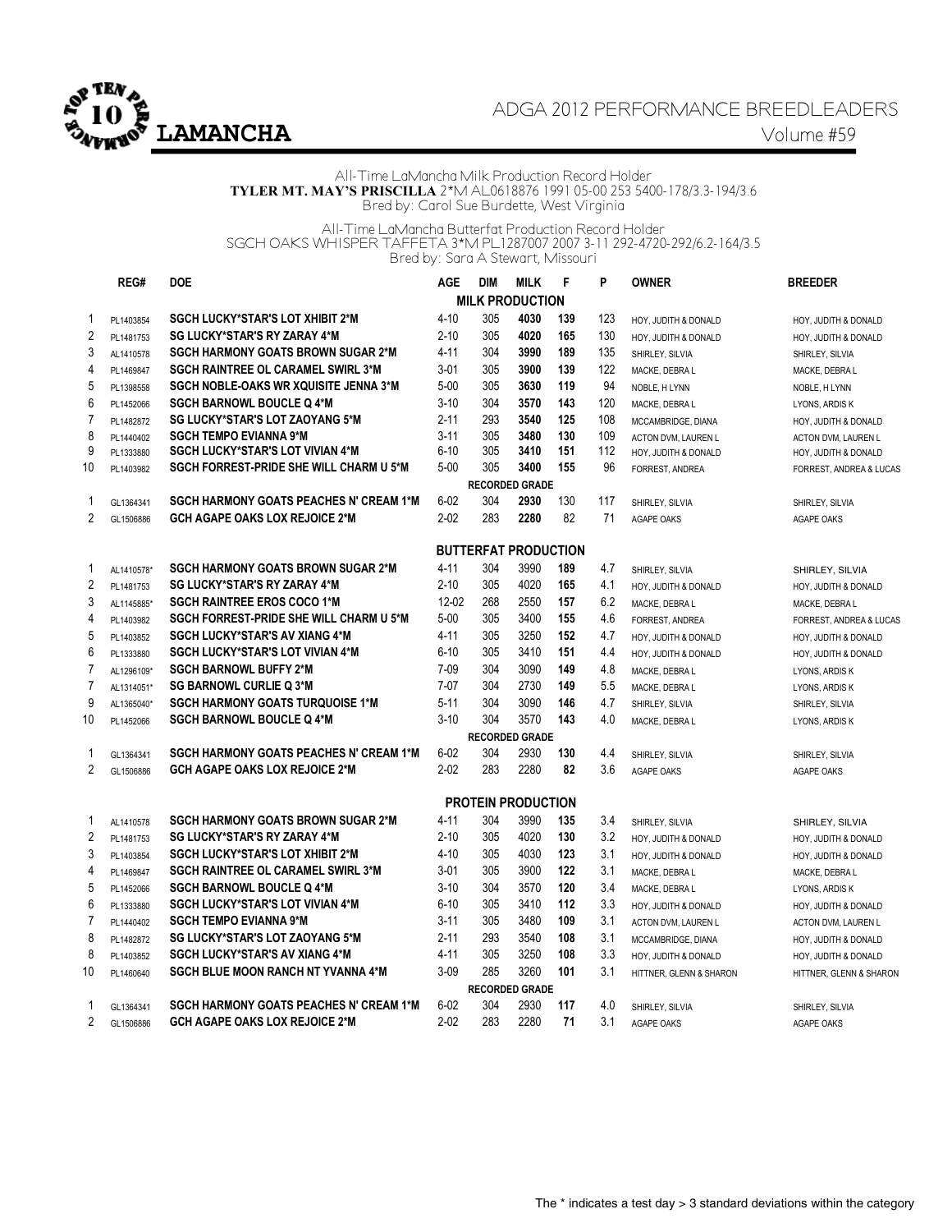

# ADGA 2012 PERFORMANCE BREEDLEADERS **LAMANCHA** Volume #59

All-Time LaMancha Milk Production Record Holder **TYLER MT. MAY'S PRISCILLA** 2\*M AL0618876 1991 05-00 253 5400-178/3.3-194/3.6 Bred by: Carol Sue Burdette, West Virginia

All-Time LaMancha Butterfat Production Record Holder SGCH OAKS WHISPER TAFFETA 3\*M PL1287007 2007 3-11 292-4720-292/6.2-164/3.5 Bred by: Sara A Stewart, Missouri

|                | REG#       | <b>DOE</b>                                     | <b>AGE</b> | <b>DIM</b> | <b>MILK</b>                 | F   | P   | <b>OWNER</b>            | <b>BREEDER</b>          |
|----------------|------------|------------------------------------------------|------------|------------|-----------------------------|-----|-----|-------------------------|-------------------------|
|                |            |                                                |            |            | <b>MILK PRODUCTION</b>      |     |     |                         |                         |
| 1              | PL1403854  | <b>SGCH LUCKY*STAR'S LOT XHIBIT 2*M</b>        | $4 - 10$   | 305        | 4030                        | 139 | 123 | HOY, JUDITH & DONALD    | HOY, JUDITH & DONALD    |
| $\sqrt{2}$     | PL1481753  | <b>SG LUCKY*STAR'S RY ZARAY 4*M</b>            | $2 - 10$   | 305        | 4020                        | 165 | 130 | HOY, JUDITH & DONALD    | HOY, JUDITH & DONALD    |
| 3              | AL1410578  | <b>SGCH HARMONY GOATS BROWN SUGAR 2*M</b>      | $4 - 11$   | 304        | 3990                        | 189 | 135 | SHIRLEY, SILVIA         | SHIRLEY, SILVIA         |
| 4              | PL1469847  | <b>SGCH RAINTREE OL CARAMEL SWIRL 3*M</b>      | $3 - 01$   | 305        | 3900                        | 139 | 122 | MACKE, DEBRA L          | MACKE, DEBRA L          |
| 5              | PL1398558  | <b>SGCH NOBLE-OAKS WR XQUISITE JENNA 3*M</b>   | $5 - 00$   | 305        | 3630                        | 119 | 94  | NOBLE, H LYNN           | NOBLE, H LYNN           |
| 6              | PL1452066  | <b>SGCH BARNOWL BOUCLE Q 4*M</b>               | $3 - 10$   | 304        | 3570                        | 143 | 120 | MACKE, DEBRA L          | LYONS, ARDIS K          |
| $\overline{7}$ | PL1482872  | SG LUCKY*STAR'S LOT ZAOYANG 5*M                | $2 - 11$   | 293        | 3540                        | 125 | 108 | MCCAMBRIDGE, DIANA      | HOY, JUDITH & DONALD    |
| 8              | PL1440402  | <b>SGCH TEMPO EVIANNA 9*M</b>                  | $3 - 11$   | 305        | 3480                        | 130 | 109 | ACTON DVM, LAUREN L     | ACTON DVM, LAUREN L     |
| 9              | PL1333880  | <b>SGCH LUCKY*STAR'S LOT VIVIAN 4*M</b>        | $6 - 10$   | 305        | 3410                        | 151 | 112 | HOY, JUDITH & DONALD    | HOY, JUDITH & DONALD    |
| 10             | PL1403982  | <b>SGCH FORREST-PRIDE SHE WILL CHARM U 5*M</b> | $5 - 00$   | 305        | 3400                        | 155 | 96  | FORREST, ANDREA         | FORREST, ANDREA & LUCAS |
|                |            |                                                |            |            | <b>RECORDED GRADE</b>       |     |     |                         |                         |
| 1              | GL1364341  | <b>SGCH HARMONY GOATS PEACHES N' CREAM 1*M</b> | $6 - 02$   | 304        | 2930                        | 130 | 117 | SHIRLEY, SILVIA         | SHIRLEY, SILVIA         |
| $\overline{2}$ | GL1506886  | <b>GCH AGAPE OAKS LOX REJOICE 2*M</b>          | $2 - 02$   | 283        | 2280                        | 82  | 71  | AGAPE OAKS              | <b>AGAPE OAKS</b>       |
|                |            |                                                |            |            | <b>BUTTERFAT PRODUCTION</b> |     |     |                         |                         |
| 1              | AL1410578* | <b>SGCH HARMONY GOATS BROWN SUGAR 2*M</b>      | $4 - 11$   | 304        | 3990                        | 189 | 4.7 | SHIRLEY, SILVIA         | SHIRLEY, SILVIA         |
| $\overline{2}$ | PL1481753  | <b>SG LUCKY*STAR'S RY ZARAY 4*M</b>            | $2 - 10$   | 305        | 4020                        | 165 | 4.1 | HOY, JUDITH & DONALD    | HOY, JUDITH & DONALD    |
| 3              | AL1145885* | <b>SGCH RAINTREE EROS COCO 1*M</b>             | $12 - 02$  | 268        | 2550                        | 157 | 6.2 | MACKE, DEBRA L          | MACKE, DEBRA L          |
| 4              | PL1403982  | <b>SGCH FORREST-PRIDE SHE WILL CHARM U 5*M</b> | $5-00$     | 305        | 3400                        | 155 | 4.6 | FORREST, ANDREA         | FORREST, ANDREA & LUCAS |
| 5              | PL1403852  | <b>SGCH LUCKY*STAR'S AV XIANG 4*M</b>          | $4 - 11$   | 305        | 3250                        | 152 | 4.7 | HOY, JUDITH & DONALD    | HOY, JUDITH & DONALD    |
| $6\phantom{a}$ | PL1333880  | <b>SGCH LUCKY*STAR'S LOT VIVIAN 4*M</b>        | $6 - 10$   | 305        | 3410                        | 151 | 4.4 | HOY, JUDITH & DONALD    | HOY, JUDITH & DONALD    |
| 7              | AL1296109* | <b>SGCH BARNOWL BUFFY 2*M</b>                  | $7-09$     | 304        | 3090                        | 149 | 4.8 | MACKE, DEBRA L          | LYONS, ARDIS K          |
| $\overline{7}$ | AL1314051* | <b>SG BARNOWL CURLIE Q 3*M</b>                 | $7-07$     | 304        | 2730                        | 149 | 5.5 | MACKE, DEBRA L          | LYONS, ARDIS K          |
| 9              | AL1365040* | <b>SGCH HARMONY GOATS TURQUOISE 1*M</b>        | $5 - 11$   | 304        | 3090                        | 146 | 4.7 | SHIRLEY, SILVIA         | SHIRLEY, SILVIA         |
| 10             | PL1452066  | <b>SGCH BARNOWL BOUCLE Q 4*M</b>               | $3 - 10$   | 304        | 3570                        | 143 | 4.0 | MACKE, DEBRA L          | LYONS, ARDIS K          |
|                |            |                                                |            |            | <b>RECORDED GRADE</b>       |     |     |                         |                         |
| 1              | GL1364341  | <b>SGCH HARMONY GOATS PEACHES N' CREAM 1*M</b> | $6 - 02$   | 304        | 2930                        | 130 | 4.4 | SHIRLEY, SILVIA         | SHIRLEY, SILVIA         |
| $\overline{2}$ | GL1506886  | <b>GCH AGAPE OAKS LOX REJOICE 2*M</b>          | $2 - 02$   | 283        | 2280                        | 82  | 3.6 | <b>AGAPE OAKS</b>       | AGAPE OAKS              |
|                |            |                                                |            |            | <b>PROTEIN PRODUCTION</b>   |     |     |                         |                         |
| 1              | AL1410578  | <b>SGCH HARMONY GOATS BROWN SUGAR 2*M</b>      | $4 - 11$   | 304        | 3990                        | 135 | 3.4 | SHIRLEY, SILVIA         | SHIRLEY, SILVIA         |
| $\overline{2}$ | PL1481753  | <b>SG LUCKY*STAR'S RY ZARAY 4*M</b>            | $2 - 10$   | 305        | 4020                        | 130 | 3.2 | HOY, JUDITH & DONALD    | HOY, JUDITH & DONALD    |
| 3              | PL1403854  | <b>SGCH LUCKY*STAR'S LOT XHIBIT 2*M</b>        | $4 - 10$   | 305        | 4030                        | 123 | 3.1 | HOY, JUDITH & DONALD    | HOY, JUDITH & DONALD    |
| 4              | PL1469847  | <b>SGCH RAINTREE OL CARAMEL SWIRL 3*M</b>      | $3 - 01$   | 305        | 3900                        | 122 | 3.1 | MACKE, DEBRA L          | MACKE, DEBRA L          |
| 5              | PL1452066  | <b>SGCH BARNOWL BOUCLE Q 4*M</b>               | $3 - 10$   | 304        | 3570                        | 120 | 3.4 | MACKE, DEBRA L          | LYONS, ARDIS K          |
| 6              | PL1333880  | <b>SGCH LUCKY*STAR'S LOT VIVIAN 4*M</b>        | $6 - 10$   | 305        | 3410                        | 112 | 3.3 | HOY, JUDITH & DONALD    | HOY, JUDITH & DONALD    |
| $\overline{7}$ | PL1440402  | <b>SGCH TEMPO EVIANNA 9*M</b>                  | $3 - 11$   | 305        | 3480                        | 109 | 3.1 | ACTON DVM, LAUREN L     | ACTON DVM, LAUREN L     |
| 8              | PL1482872  | <b>SG LUCKY*STAR'S LOT ZAOYANG 5*M</b>         | $2 - 11$   | 293        | 3540                        | 108 | 3.1 | MCCAMBRIDGE, DIANA      | HOY, JUDITH & DONALD    |
| 8              | PL1403852  | <b>SGCH LUCKY*STAR'S AV XIANG 4*M</b>          | $4 - 11$   | 305        | 3250                        | 108 | 3.3 | HOY, JUDITH & DONALD    | HOY, JUDITH & DONALD    |
| 10             | PL1460640  | <b>SGCH BLUE MOON RANCH NT YVANNA 4*M</b>      | $3-09$     | 285        | 3260                        | 101 | 3.1 | HITTNER, GLENN & SHARON | HITTNER, GLENN & SHARON |
|                |            |                                                |            |            | <b>RECORDED GRADE</b>       |     |     |                         |                         |
| 1              | GL1364341  | <b>SGCH HARMONY GOATS PEACHES N' CREAM 1*M</b> | $6-02$     | 304        | 2930                        | 117 | 4.0 | SHIRLEY, SILVIA         | SHIRLEY, SILVIA         |
| 2              | GL1506886  | <b>GCH AGAPE OAKS LOX REJOICE 2*M</b>          | $2 - 02$   | 283        | 2280                        | 71  | 3.1 | <b>AGAPE OAKS</b>       | <b>AGAPE OAKS</b>       |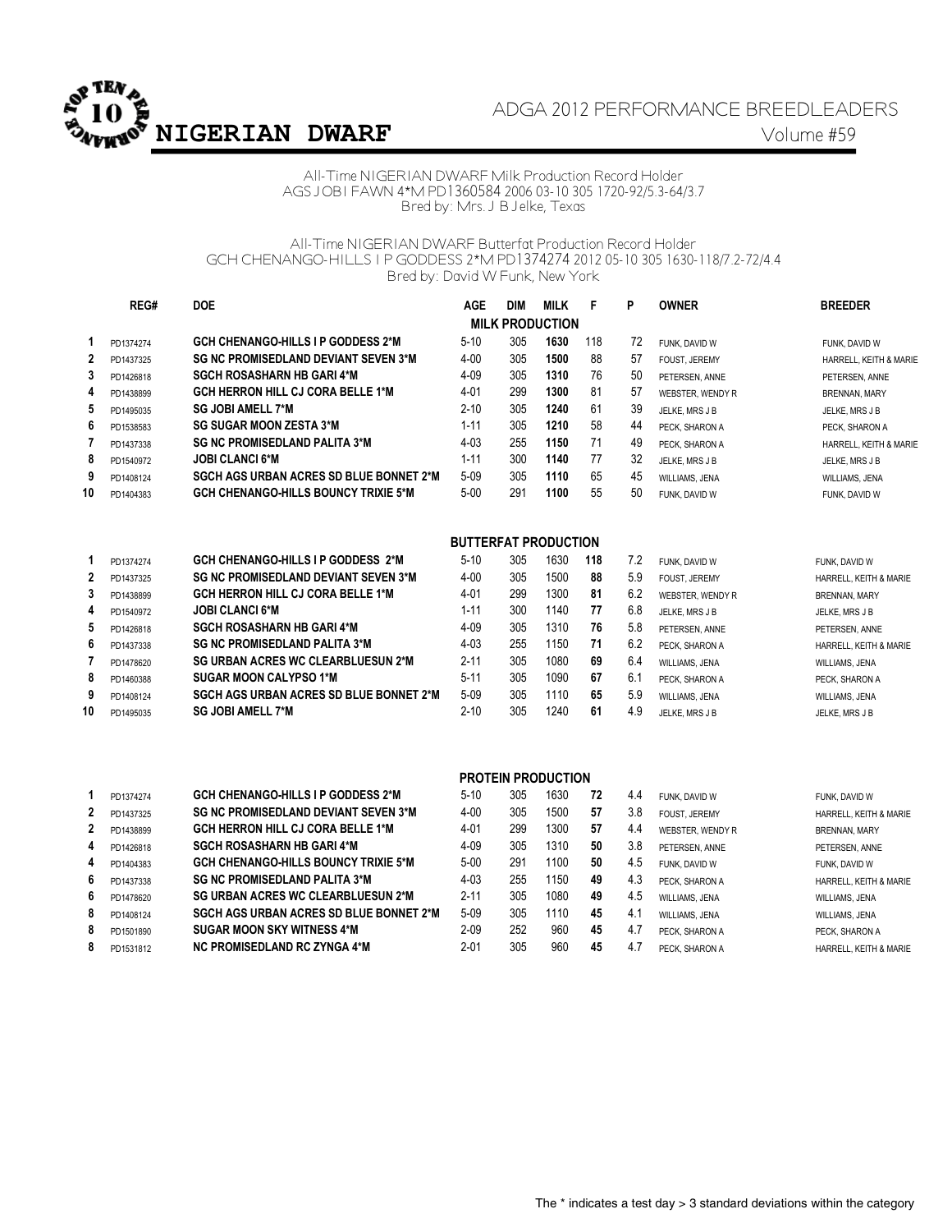

## ADGA 2012 PERFORMANCE BREEDLEADERS **NIGERIAN DWARF** Volume #59

All-Time NIGERIAN DWARF Milk Production Record Holder AGS JOBI FAWN 4\*M PD1360584 2006 03-10 305 1720-92/5.3-64/3.7 Bred by: Mrs. J B Jelke, Texas

All-Time NIGERIAN DWARF Butterfat Production Record Holder GCH CHENANGO-HILLS I P GODDESS 2\*M PD1374274 2012 05-10 305 1630-118/7.2-72/4.4 Bred by: David W Funk, New York

|                | REG#      | <b>DOE</b>                                     | <b>AGE</b>                  | <b>DIM</b> | <b>MILK</b>               | F   | P   | <b>OWNER</b>     | <b>BREEDER</b>         |
|----------------|-----------|------------------------------------------------|-----------------------------|------------|---------------------------|-----|-----|------------------|------------------------|
|                |           |                                                |                             |            | <b>MILK PRODUCTION</b>    |     |     |                  |                        |
| 1              | PD1374274 | <b>GCH CHENANGO-HILLS I P GODDESS 2*M</b>      | $5-10$                      | 305        | 1630                      | 118 | 72  | FUNK, DAVID W    | FUNK, DAVID W          |
| $\overline{2}$ | PD1437325 | <b>SG NC PROMISEDLAND DEVIANT SEVEN 3*M</b>    | 4-00                        | 305        | 1500                      | 88  | 57  | FOUST, JEREMY    | HARRELL, KEITH & MARIE |
| 3              | PD1426818 | <b>SGCH ROSASHARN HB GARI 4*M</b>              | 4-09                        | 305        | 1310                      | 76  | 50  | PETERSEN, ANNE   | PETERSEN, ANNE         |
| 4              | PD1438899 | <b>GCH HERRON HILL CJ CORA BELLE 1*M</b>       | 4-01                        | 299        | 1300                      | 81  | 57  | WEBSTER, WENDY R | <b>BRENNAN, MARY</b>   |
| 5              | PD1495035 | <b>SG JOBI AMELL 7*M</b>                       | 2-10                        | 305        | 1240                      | 61  | 39  | JELKE, MRS J B   | JELKE, MRS J B         |
| 6              | PD1538583 | <b>SG SUGAR MOON ZESTA 3*M</b>                 | $1 - 11$                    | 305        | 1210                      | 58  | 44  | PECK, SHARON A   | PECK, SHARON A         |
| $\overline{7}$ | PD1437338 | <b>SG NC PROMISEDLAND PALITA 3*M</b>           | $4 - 03$                    | 255        | 1150                      | 71  | 49  | PECK, SHARON A   | HARRELL, KEITH & MARIE |
| 8              | PD1540972 | <b>JOBI CLANCI 6*M</b>                         | $1 - 11$                    | 300        | 1140                      | 77  | 32  | JELKE, MRS J B   | JELKE, MRS J B         |
| 9              | PD1408124 | SGCH AGS URBAN ACRES SD BLUE BONNET 2*M        | $5 - 09$                    | 305        | 1110                      | 65  | 45  | WILLIAMS, JENA   | <b>WILLIAMS, JENA</b>  |
| 10             | PD1404383 | <b>GCH CHENANGO-HILLS BOUNCY TRIXIE 5*M</b>    | $5 - 00$                    | 291        | 1100                      | 55  | 50  | FUNK, DAVID W    | FUNK, DAVID W          |
|                |           |                                                | <b>BUTTERFAT PRODUCTION</b> |            |                           |     |     |                  |                        |
| 1              | PD1374274 | <b>GCH CHENANGO-HILLS I P GODDESS 2*M</b>      | $5 - 10$                    | 305        | 1630                      | 118 | 7.2 | FUNK, DAVID W    | FUNK, DAVID W          |
| $\mathbf{2}$   | PD1437325 | <b>SG NC PROMISEDLAND DEVIANT SEVEN 3*M</b>    | 4-00                        | 305        | 1500                      | 88  | 5.9 | FOUST, JEREMY    | HARRELL, KEITH & MARIE |
| 3              | PD1438899 | <b>GCH HERRON HILL CJ CORA BELLE 1*M</b>       | 4-01                        | 299        | 1300                      | 81  | 6.2 | WEBSTER, WENDY R | BRENNAN, MARY          |
| 4              | PD1540972 | <b>JOBI CLANCI 6*M</b>                         | $1 - 11$                    | 300        | 1140                      | 77  | 6.8 | JELKE, MRS J B   | JELKE, MRS J B         |
| 5              | PD1426818 | <b>SGCH ROSASHARN HB GARI 4*M</b>              | 4-09                        | 305        | 1310                      | 76  | 5.8 | PETERSEN, ANNE   | PETERSEN, ANNE         |
| 6              | PD1437338 | <b>SG NC PROMISEDLAND PALITA 3*M</b>           | 4-03                        | 255        | 1150                      | 71  | 6.2 | PECK. SHARON A   | HARRELL, KEITH & MARIE |
| 7              | PD1478620 | <b>SG URBAN ACRES WC CLEARBLUESUN 2*M</b>      | 2-11                        | 305        | 1080                      | 69  | 6.4 | WILLIAMS, JENA   | WILLIAMS, JENA         |
| 8              | PD1460388 | <b>SUGAR MOON CALYPSO 1*M</b>                  | $5 - 11$                    | 305        | 1090                      | 67  | 6.1 | PECK, SHARON A   | PECK, SHARON A         |
| 9              | PD1408124 | <b>SGCH AGS URBAN ACRES SD BLUE BONNET 2*M</b> | $5 - 09$                    | 305        | 1110                      | 65  | 5.9 | WILLIAMS, JENA   | WILLIAMS, JENA         |
| 10             | PD1495035 | <b>SG JOBI AMELL 7*M</b>                       | $2 - 10$                    | 305        | 1240                      | 61  | 4.9 | JELKE, MRS J B   | JELKE, MRS J B         |
|                |           |                                                |                             |            |                           |     |     |                  |                        |
|                |           |                                                |                             |            | <b>PROTEIN PRODUCTION</b> |     |     |                  |                        |
| 1              | PD1374274 | <b>GCH CHENANGO-HILLS I P GODDESS 2*M</b>      | $5 - 10$                    | 305        | 1630                      | 72  | 4.4 | FUNK. DAVID W    | FUNK. DAVID W          |
| 2              | PD1437325 | <b>SG NC PROMISEDLAND DEVIANT SEVEN 3*M</b>    | 4-00                        | 305        | 1500                      | 57  | 3.8 | FOUST, JEREMY    | HARRELL, KEITH & MARIE |
| $\mathbf{2}$   | PD1438899 | GCH HERRON HILL CJ CORA BELLE 1*M              | 4-01                        | 299        | 1300                      | 57  | 4.4 | WEBSTER, WENDY R | BRENNAN, MARY          |
| 4              | PD1426818 | <b>SGCH ROSASHARN HB GARI 4*M</b>              | 4-09                        | 305        | 1310                      | 50  | 3.8 | PETERSEN, ANNE   | PETERSEN, ANNE         |
| 4              | PD1404383 | <b>GCH CHENANGO-HILLS BOUNCY TRIXIE 5*M</b>    | $5 - 00$                    | 291        | 1100                      | 50  | 4.5 | FUNK. DAVID W    | FUNK, DAVID W          |
| 6              | PD1437338 | <b>SG NC PROMISEDLAND PALITA 3*M</b>           | 4-03                        | 255        | 1150                      | 49  | 4.3 | PECK, SHARON A   | HARRELL, KEITH & MARIE |
| 6              | PD1478620 | <b>SG URBAN ACRES WC CLEARBLUESUN 2*M</b>      | $2 - 11$                    | 305        | 1080                      | 49  | 4.5 | WILLIAMS, JENA   | WILLIAMS, JENA         |
| 8              | PD1408124 | <b>SGCH AGS URBAN ACRES SD BLUE BONNET 2*M</b> | $5 - 09$                    | 305        | 1110                      | 45  | 4.1 | WILLIAMS, JENA   | WILLIAMS, JENA         |
| 8              | PD1501890 | <b>SUGAR MOON SKY WITNESS 4*M</b>              | $2 - 09$                    | 252        | 960                       | 45  | 4.7 | PECK. SHARON A   | PECK. SHARON A         |
| 8              | PD1531812 | NC PROMISEDLAND RC ZYNGA 4*M                   | $2 - 01$                    | 305        | 960                       | 45  | 4.7 | PECK, SHARON A   | HARRELL, KEITH & MARIE |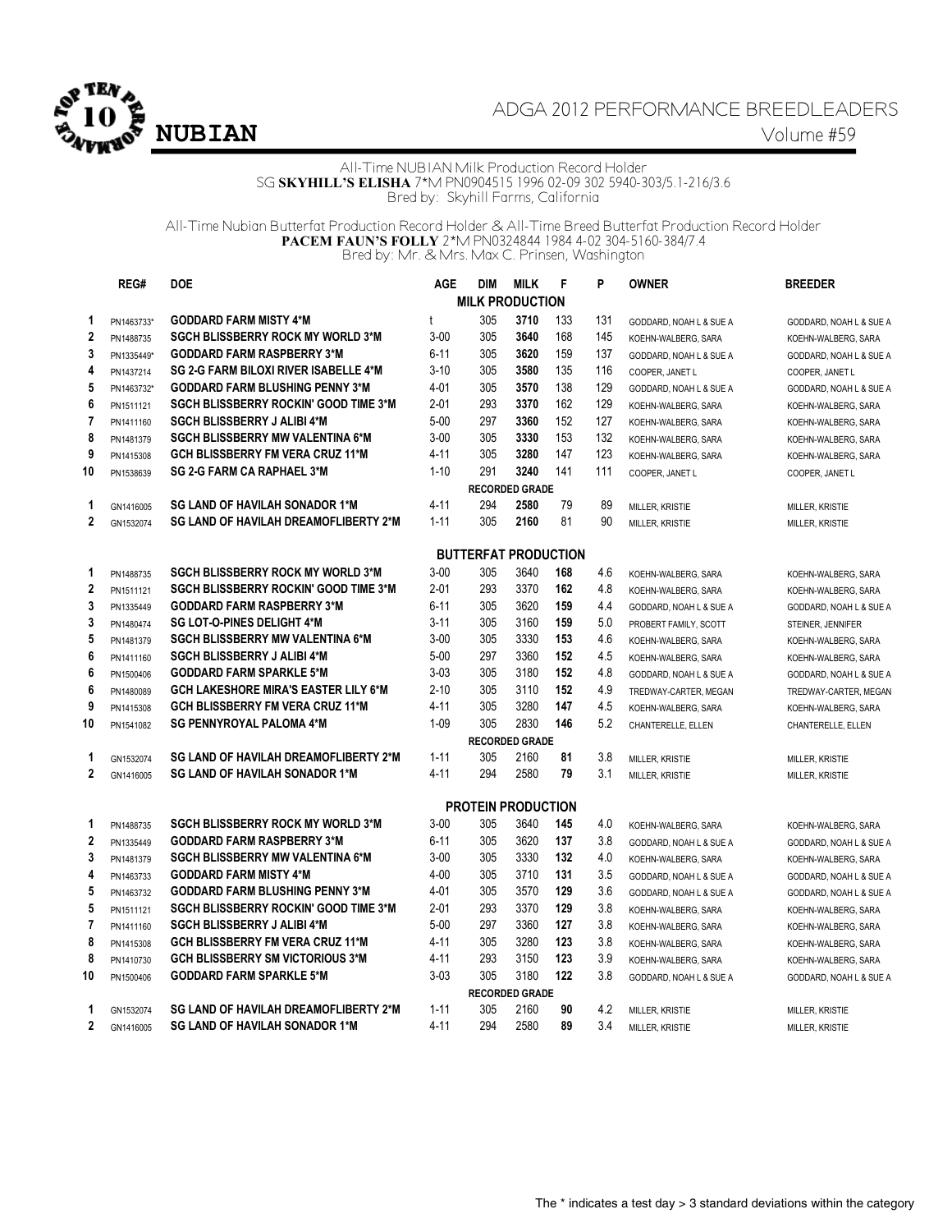

# ADGA 2012 PERFORMANCE BREEDLEADERS **NUBIAN** Volume #59

All-Time NUBIAN Milk Production Record Holder SG **SKYHILL'S ELISHA** 7\*M PN0904515 1996 02-09 302 5940-303/5.1-216/3.6 Bred by: Skyhill Farms, California

All-Time Nubian Butterfat Production Record Holder & All-Time Breed Butterfat Production Record Holder **PACEM FAUN'S FOLLY** 2\*M PN0324844 1984 4-02 304-5160-384/7.4 Bred by: Mr. & Mrs. Max C. Prinsen, Washington

|                  | REG#       | <b>DOE</b>                                   | <b>AGE</b> | <b>DIM</b>                  | <b>MILK</b>           | F   | P   | <b>OWNER</b>            | <b>BREEDER</b>          |
|------------------|------------|----------------------------------------------|------------|-----------------------------|-----------------------|-----|-----|-------------------------|-------------------------|
|                  |            |                                              |            | <b>MILK PRODUCTION</b>      |                       |     |     |                         |                         |
| 1                | PN1463733* | <b>GODDARD FARM MISTY 4*M</b>                | t          | 305                         | 3710                  | 133 | 131 | GODDARD, NOAH L & SUE A | GODDARD, NOAH L & SUE A |
| $\boldsymbol{2}$ | PN1488735  | <b>SGCH BLISSBERRY ROCK MY WORLD 3*M</b>     | $3-00$     | 305                         | 3640                  | 168 | 145 | KOEHN-WALBERG, SARA     | KOEHN-WALBERG, SARA     |
| 3                | PN1335449* | <b>GODDARD FARM RASPBERRY 3*M</b>            | $6 - 11$   | 305                         | 3620                  | 159 | 137 | GODDARD, NOAH L & SUE A | GODDARD, NOAH L & SUE A |
| 4                | PN1437214  | SG 2-G FARM BILOXI RIVER ISABELLE 4*M        | $3-10$     | 305                         | 3580                  | 135 | 116 | COOPER, JANET L         | COOPER, JANET L         |
| 5                | PN1463732* | <b>GODDARD FARM BLUSHING PENNY 3*M</b>       | 4-01       | 305                         | 3570                  | 138 | 129 | GODDARD, NOAH L & SUE A | GODDARD, NOAH L & SUE A |
| 6                | PN1511121  | <b>SGCH BLISSBERRY ROCKIN' GOOD TIME 3*M</b> | $2 - 01$   | 293                         | 3370                  | 162 | 129 | KOEHN-WALBERG, SARA     | KOEHN-WALBERG, SARA     |
| 7                | PN1411160  | <b>SGCH BLISSBERRY J ALIBI 4*M</b>           | $5 - 00$   | 297                         | 3360                  | 152 | 127 | KOEHN-WALBERG, SARA     | KOEHN-WALBERG, SARA     |
| 8                | PN1481379  | <b>SGCH BLISSBERRY MW VALENTINA 6*M</b>      | $3 - 00$   | 305                         | 3330                  | 153 | 132 | KOEHN-WALBERG, SARA     | KOEHN-WALBERG, SARA     |
| 9                | PN1415308  | <b>GCH BLISSBERRY FM VERA CRUZ 11*M</b>      | 4-11       | 305                         | 3280                  | 147 | 123 | KOEHN-WALBERG, SARA     | KOEHN-WALBERG, SARA     |
| 10               | PN1538639  | <b>SG 2-G FARM CA RAPHAEL 3*M</b>            | $1 - 10$   | 291                         | 3240                  | 141 | 111 | COOPER, JANET L         | COOPER, JANET L         |
|                  |            |                                              |            |                             | <b>RECORDED GRADE</b> |     |     |                         |                         |
| 1                | GN1416005  | <b>SG LAND OF HAVILAH SONADOR 1*M</b>        | $4 - 11$   | 294                         | 2580                  | 79  | 89  | MILLER, KRISTIE         | MILLER, KRISTIE         |
| $\overline{2}$   | GN1532074  | SG LAND OF HAVILAH DREAMOFLIBERTY 2*M        | $1 - 11$   | 305                         | 2160                  | 81  | 90  | MILLER, KRISTIE         | MILLER, KRISTIE         |
|                  |            |                                              |            |                             |                       |     |     |                         |                         |
|                  |            |                                              |            | <b>BUTTERFAT PRODUCTION</b> |                       |     |     |                         |                         |
| 1                | PN1488735  | <b>SGCH BLISSBERRY ROCK MY WORLD 3*M</b>     | $3 - 00$   | 305                         | 3640                  | 168 | 4.6 | KOEHN-WALBERG, SARA     | KOEHN-WALBERG, SARA     |
| $\mathbf 2$      | PN1511121  | <b>SGCH BLISSBERRY ROCKIN' GOOD TIME 3*M</b> | $2 - 01$   | 293                         | 3370                  | 162 | 4.8 | KOEHN-WALBERG, SARA     | KOEHN-WALBERG, SARA     |
| 3                | PN1335449  | <b>GODDARD FARM RASPBERRY 3*M</b>            | 6-11       | 305                         | 3620                  | 159 | 4.4 | GODDARD, NOAH L & SUE A | GODDARD, NOAH L & SUE A |
| 3                | PN1480474  | <b>SG LOT-O-PINES DELIGHT 4*M</b>            | $3 - 11$   | 305                         | 3160                  | 159 | 5.0 | PROBERT FAMILY, SCOTT   | STEINER, JENNIFER       |
| 5                | PN1481379  | <b>SGCH BLISSBERRY MW VALENTINA 6*M</b>      | $3 - 00$   | 305                         | 3330                  | 153 | 4.6 | KOEHN-WALBERG, SARA     | KOEHN-WALBERG, SARA     |
| 6                | PN1411160  | <b>SGCH BLISSBERRY J ALIBI 4*M</b>           | $5 - 00$   | 297                         | 3360                  | 152 | 4.5 | KOEHN-WALBERG, SARA     | KOEHN-WALBERG, SARA     |
| 6                | PN1500406  | <b>GODDARD FARM SPARKLE 5*M</b>              | $3-03$     | 305                         | 3180                  | 152 | 4.8 | GODDARD, NOAH L & SUE A | GODDARD, NOAH L & SUE A |
| 6                | PN1480089  | <b>GCH LAKESHORE MIRA'S EASTER LILY 6*M</b>  | $2 - 10$   | 305                         | 3110                  | 152 | 4.9 | TREDWAY-CARTER, MEGAN   | TREDWAY-CARTER, MEGAN   |
| 9                | PN1415308  | <b>GCH BLISSBERRY FM VERA CRUZ 11*M</b>      | $4 - 11$   | 305                         | 3280                  | 147 | 4.5 | KOEHN-WALBERG, SARA     | KOEHN-WALBERG, SARA     |
| 10               | PN1541082  | <b>SG PENNYROYAL PALOMA 4*M</b>              | $1 - 09$   | 305                         | 2830                  | 146 | 5.2 | CHANTERELLE, ELLEN      | CHANTERELLE, ELLEN      |
|                  |            |                                              |            |                             | <b>RECORDED GRADE</b> |     |     |                         |                         |
| 1                | GN1532074  | <b>SG LAND OF HAVILAH DREAMOFLIBERTY 2*M</b> | $1 - 11$   | 305                         | 2160                  | 81  | 3.8 | MILLER, KRISTIE         | MILLER, KRISTIE         |
| $\mathbf{2}$     | GN1416005  | <b>SG LAND OF HAVILAH SONADOR 1*M</b>        | $4 - 11$   | 294                         | 2580                  | 79  | 3.1 | MILLER, KRISTIE         | MILLER, KRISTIE         |
|                  |            |                                              |            | <b>PROTEIN PRODUCTION</b>   |                       |     |     |                         |                         |
| 1                | PN1488735  | <b>SGCH BLISSBERRY ROCK MY WORLD 3*M</b>     | $3 - 00$   | 305                         | 3640                  | 145 | 4.0 | KOEHN-WALBERG, SARA     | KOEHN-WALBERG, SARA     |
| $\mathbf{2}$     | PN1335449  | <b>GODDARD FARM RASPBERRY 3*M</b>            | $6 - 11$   | 305                         | 3620                  | 137 | 3.8 | GODDARD, NOAH L & SUE A | GODDARD, NOAH L & SUE A |
| 3                | PN1481379  | <b>SGCH BLISSBERRY MW VALENTINA 6*M</b>      | $3 - 00$   | 305                         | 3330                  | 132 | 4.0 | KOEHN-WALBERG, SARA     | KOEHN-WALBERG, SARA     |
| 4                | PN1463733  | <b>GODDARD FARM MISTY 4*M</b>                | $4 - 00$   | 305                         | 3710                  | 131 | 3.5 | GODDARD, NOAH L & SUE A | GODDARD, NOAH L & SUE A |
| 5                | PN1463732  | <b>GODDARD FARM BLUSHING PENNY 3*M</b>       | 4-01       | 305                         | 3570                  | 129 | 3.6 | GODDARD, NOAH L & SUE A | GODDARD, NOAH L & SUE A |
| 5                | PN1511121  | <b>SGCH BLISSBERRY ROCKIN' GOOD TIME 3*M</b> | $2 - 01$   | 293                         | 3370                  | 129 | 3.8 | KOEHN-WALBERG, SARA     | KOEHN-WALBERG, SARA     |
| $\overline{7}$   | PN1411160  | <b>SGCH BLISSBERRY J ALIBI 4*M</b>           | $5 - 00$   | 297                         | 3360                  | 127 | 3.8 | KOEHN-WALBERG, SARA     | KOEHN-WALBERG, SARA     |
| 8                | PN1415308  | <b>GCH BLISSBERRY FM VERA CRUZ 11*M</b>      | $4 - 11$   | 305                         | 3280                  | 123 | 3.8 | KOEHN-WALBERG, SARA     | KOEHN-WALBERG, SARA     |
| 8                | PN1410730  | <b>GCH BLISSBERRY SM VICTORIOUS 3*M</b>      | $4 - 11$   | 293                         | 3150                  | 123 | 3.9 | KOEHN-WALBERG, SARA     | KOEHN-WALBERG, SARA     |
| 10               | PN1500406  | <b>GODDARD FARM SPARKLE 5*M</b>              | $3 - 03$   | 305                         | 3180                  | 122 | 3.8 | GODDARD, NOAH L & SUE A | GODDARD, NOAH L & SUE A |
|                  |            |                                              |            |                             | <b>RECORDED GRADE</b> |     |     |                         |                         |
| 1                | GN1532074  | <b>SG LAND OF HAVILAH DREAMOFLIBERTY 2*M</b> | $1 - 11$   | 305                         | 2160                  | 90  | 4.2 | MILLER, KRISTIE         | MILLER, KRISTIE         |
| $\overline{2}$   | GN1416005  | <b>SG LAND OF HAVILAH SONADOR 1*M</b>        | $4 - 11$   | 294                         | 2580                  | 89  | 3.4 | MILLER, KRISTIE         | MILLER, KRISTIE         |
|                  |            |                                              |            |                             |                       |     |     |                         |                         |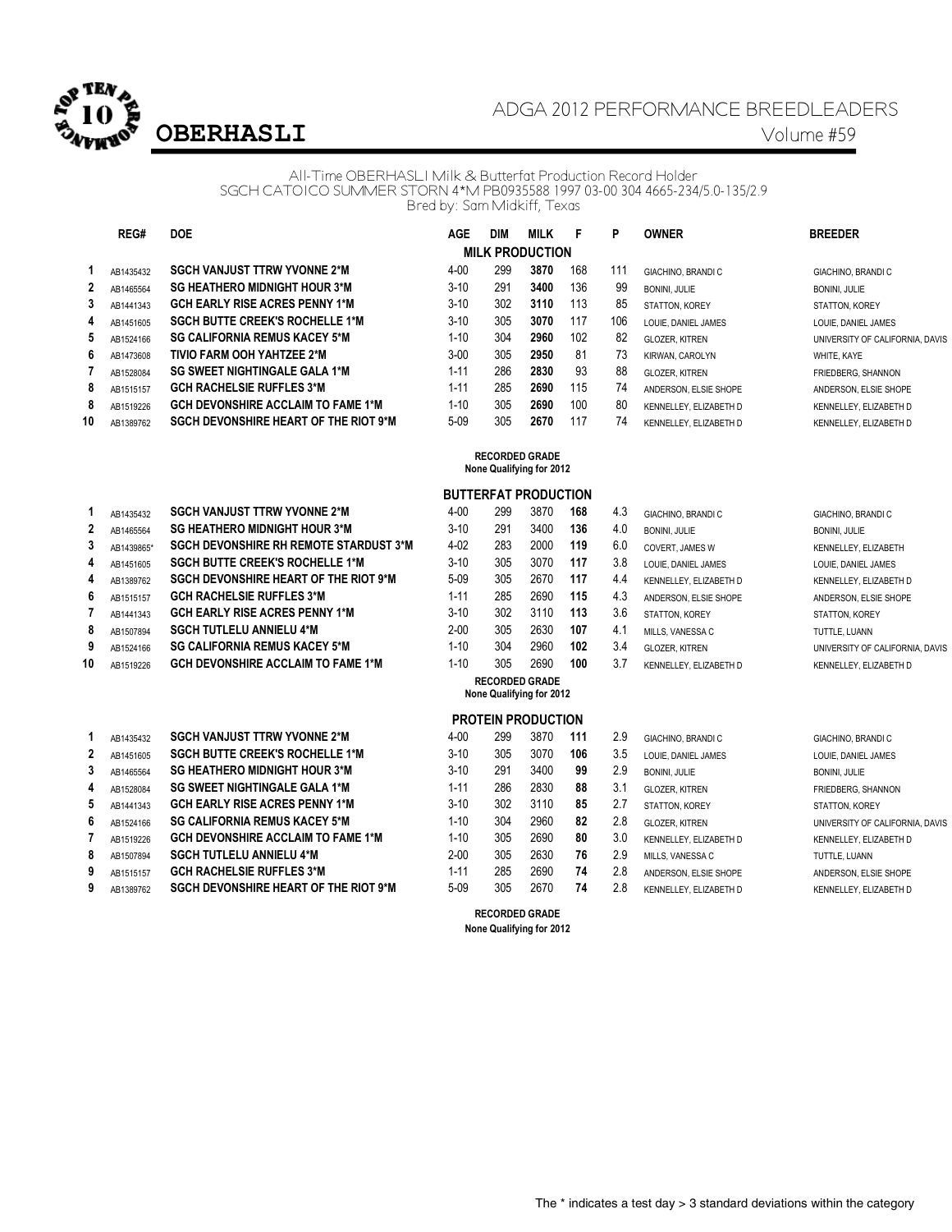

# ADGA 2012 PERFORMANCE BREEDLEADERS **OBERHASLI** Volume #59

#### All-Time OBERHASLI Milk & Butterfat Production Record Holder SGCH CATOICO SUMMER STORN 4\*M PB0935588 1997 03-00 304 4665-234/5.0-135/2.9 Bred by: Sam Midkiff, Texas

|                | REG#      | <b>DOE</b>                                   | AGE      | <b>DIM</b> | <b>MILK</b>            | F   | P   | <b>OWNER</b>             | <b>BREEDER</b>                  |
|----------------|-----------|----------------------------------------------|----------|------------|------------------------|-----|-----|--------------------------|---------------------------------|
|                |           |                                              |          |            | <b>MILK PRODUCTION</b> |     |     |                          |                                 |
|                | AB1435432 | <b>SGCH VANJUST TTRW YVONNE 2*M</b>          | $4 - 00$ | 299        | 3870                   | 168 | 111 | <b>GIACHINO, BRANDIC</b> | GIACHINO, BRANDI C              |
| $\overline{2}$ | AB1465564 | <b>SG HEATHERO MIDNIGHT HOUR 3*M</b>         | $3 - 10$ | 291        | 3400                   | 136 | 99  | <b>BONINI, JULIE</b>     | <b>BONINI, JULIE</b>            |
| 3              | AB1441343 | <b>GCH EARLY RISE ACRES PENNY 1*M</b>        | $3 - 10$ | 302        | 3110                   | 113 | 85  | STATTON, KOREY           | STATTON, KOREY                  |
| 4              | AB1451605 | <b>SGCH BUTTE CREEK'S ROCHELLE 1*M</b>       | $3-10$   | 305        | 3070                   | 117 | 106 | LOUIE. DANIEL JAMES      | LOUIE. DANIEL JAMES             |
| 5              | AB1524166 | <b>SG CALIFORNIA REMUS KACEY 5*M</b>         | $1 - 10$ | 304        | 2960                   | 102 | 82  | <b>GLOZER, KITREN</b>    | UNIVERSITY OF CALIFORNIA, DAVIS |
| 6              | AB1473608 | <b>TIVIO FARM OOH YAHTZEE 2*M</b>            | $3 - 00$ | 305        | 2950                   | 81  | 73  | KIRWAN, CAROLYN          | WHITE, KAYE                     |
|                | AB1528084 | <b>SG SWEET NIGHTINGALE GALA 1*M</b>         | $1 - 11$ | 286        | 2830                   | 93  | 88  | <b>GLOZER, KITREN</b>    | FRIEDBERG, SHANNON              |
| 8              | AB1515157 | <b>GCH RACHELSIE RUFFLES 3*M</b>             | $1 - 11$ | 285        | 2690                   | 115 | 74  | ANDERSON. ELSIE SHOPE    | ANDERSON, ELSIE SHOPE           |
| 8              | AB1519226 | <b>GCH DEVONSHIRE ACCLAIM TO FAME 1*M</b>    | $1 - 10$ | 305        | 2690                   | 100 | 80  | KENNELLEY, ELIZABETH D   | KENNELLEY, ELIZABETH D          |
| 10             | AB1389762 | <b>SGCH DEVONSHIRE HEART OF THE RIOT 9*M</b> | $5-09$   | 305        | 2670                   | 117 | 74  | KENNELLEY, ELIZABETH D   | KENNELLEY, ELIZABETH D          |

#### **RECORDED GRADE None Qualifying for 2012**

## **BUTTERFAT PRODUCTION**

|              | AB1435432  | <b>SGCH VANJUST TTRW YVONNE 2*M</b>           | $4 - 00$ | 299 | 3870 | 168 | 4.3 | GIACHINO, BRANDI C     | GIACHINO, BRANDI C              |
|--------------|------------|-----------------------------------------------|----------|-----|------|-----|-----|------------------------|---------------------------------|
| $\mathbf{2}$ | AB1465564  | <b>SG HEATHERO MIDNIGHT HOUR 3*M</b>          | $3 - 10$ | 291 | 3400 | 136 | 4.0 | <b>BONINI, JULIE</b>   | <b>BONINI, JULIE</b>            |
| 3            | AB1439865* | <b>SGCH DEVONSHIRE RH REMOTE STARDUST 3*M</b> | $4 - 02$ | 283 | 2000 | 119 | 6.0 | COVERT. JAMES W        | KENNELLEY, ELIZABETH            |
| 4            | AB1451605  | <b>SGCH BUTTE CREEK'S ROCHELLE 1*M</b>        | $3 - 10$ | 305 | 3070 | 117 | 3.8 | LOUIE. DANIEL JAMES    | LOUIE. DANIEL JAMES             |
| 4            | AB1389762  | <b>SGCH DEVONSHIRE HEART OF THE RIOT 9*M</b>  | $5-09$   | 305 | 2670 | 117 | 4.4 | KENNELLEY, ELIZABETH D | KENNELLEY, ELIZABETH D          |
| 6            | AB1515157  | <b>GCH RACHELSIE RUFFLES 3*M</b>              | $1 - 11$ | 285 | 2690 | 115 | 4.3 | ANDERSON. ELSIE SHOPE  | ANDERSON, ELSIE SHOPE           |
|              | AB1441343  | <b>GCH EARLY RISE ACRES PENNY 1*M</b>         | $3 - 10$ | 302 | 3110 | 113 | 3.6 | STATTON, KOREY         | STATTON, KOREY                  |
| 8            | AB1507894  | <b>SGCH TUTLELU ANNIELU 4*M</b>               | $2 - 00$ | 305 | 2630 | 107 | 4.1 | MILLS, VANESSA C       | TUTTLE, LUANN                   |
| 9            | AB1524166  | <b>SG CALIFORNIA REMUS KACEY 5*M</b>          | $1 - 10$ | 304 | 2960 | 102 | 3.4 | <b>GLOZER, KITREN</b>  | UNIVERSITY OF CALIFORNIA, DAVIS |
| 10           | AB1519226  | <b>GCH DEVONSHIRE ACCLAIM TO FAME 1*M</b>     | $1 - 10$ | 305 | 2690 | 100 | 3.7 | KENNELLEY, ELIZABETH D | KENNELLEY, ELIZABETH D          |

|              | AB1435432 | <b>SGCH VANJUST TTRW YVONNE 2*M</b>          | $4 - 00$ | 299 | 3870 | 111 | 2.9 | GIACHINO, BRANDI C     | GIACHINO, BRANDI C     |
|--------------|-----------|----------------------------------------------|----------|-----|------|-----|-----|------------------------|------------------------|
| $\mathbf{2}$ | AB1451605 | <b>SGCH BUTTE CREEK'S ROCHELLE 1*M</b>       | $3 - 10$ | 305 | 3070 | 106 | 3.5 | LOUIE. DANIEL JAMES    | LOUIE, DANIEL JAMES    |
| 3            | AB1465564 | <b>SG HEATHERO MIDNIGHT HOUR 3*M</b>         | $3 - 10$ | 291 | 3400 | 99  | 2.9 | <b>BONINI, JULIE</b>   | <b>BONINI, JULIE</b>   |
| 4            | AB1528084 | <b>SG SWEET NIGHTINGALE GALA 1*M</b>         | 1-11     | 286 | 2830 | 88  | 3.1 | <b>GLOZER, KITREN</b>  | FRIEDBERG, SHANNON     |
| 5            | AB1441343 | <b>GCH EARLY RISE ACRES PENNY 1*M</b>        | $3 - 10$ | 302 | 3110 | 85  | 2.7 | STATTON, KOREY         | STATTON, KOREY         |
| 6            | AB1524166 | <b>SG CALIFORNIA REMUS KACEY 5*M</b>         | $1 - 10$ | 304 | 2960 | 82  | 2.8 | <b>GLOZER, KITREN</b>  | UNIVERSITY OF CALIFORN |
|              | AB1519226 | <b>GCH DEVONSHIRE ACCLAIM TO FAME 1*M</b>    | 1-10     | 305 | 2690 | 80  | 3.0 | KENNELLEY, ELIZABETH D | KENNELLEY, ELIZABETH D |
| 8            | AB1507894 | <b>SGCH TUTLELU ANNIELU 4*M</b>              | $2 - 00$ | 305 | 2630 | 76  | 2.9 | MILLS, VANESSA C       | TUTTLE, LUANN          |
| 9            | AB1515157 | <b>GCH RACHELSIE RUFFLES 3*M</b>             | 1-11     | 285 | 2690 | 74  | 2.8 | ANDERSON. ELSIE SHOPE  | ANDERSON, ELSIE SHOPE  |
| 9            | AB1389762 | <b>SGCH DEVONSHIRE HEART OF THE RIOT 9*M</b> | $5-09$   | 305 | 2670 | 74  | 2.8 | KENNELLEY, ELIZABETH D | KENNELLEY, ELIZABETH D |

| $4 - 00$ | 299 | 3870 | 168 |
|----------|-----|------|-----|
| $3 - 10$ | 291 | 3400 | 136 |
| $4 - 02$ | 283 | 2000 | 119 |
| $3 - 10$ | 305 | 3070 | 117 |
| $5 - 09$ | 305 | 2670 | 117 |
| $1 - 11$ | 285 | 2690 | 115 |
| $3 - 10$ | 302 | 3110 | 113 |
| $2 - 00$ | 305 | 2630 | 107 |
| $1 - 10$ | 304 | 2960 | 102 |
| $1 - 10$ | 305 | 2690 | 100 |
|          |     |      |     |

| .O | <b>BONINI, JULIE</b>   |
|----|------------------------|
| .0 | <b>COVERT. JAMES W</b> |
| .8 | LOUIE. DANIEL JAMES    |
| 4  | KENNELLEY, ELIZABETH D |
| .3 | ANDERSON. ELSIE SHOPE  |
| .6 | STATTON, KOREY         |
| .1 | MILLS, VANESSA C       |
| 4  | <b>GLOZER, KITREN</b>  |
| 7  | KENNELLEY ELIZARETH D  |

| GIACHINO. BRANDI C            |
|-------------------------------|
| <b>BONINI. JULIE</b>          |
| KENNELLEY, ELIZABETH          |
| LOUIE. DANIEL JAMES           |
| KENNELLEY, ELIZABETH D        |
| ANDERSON, ELSIE SHOPE         |
| STATTON, KOREY                |
| TUTTLE, LUANN                 |
| UNIVERSITY OF CALIFORNIA. DAV |
| KENNELLEY, ELIZABETH D        |

| <b>RECORDED GRADE</b>    |  |  |  |  |  |  |  |  |
|--------------------------|--|--|--|--|--|--|--|--|
| None Qualifying for 2012 |  |  |  |  |  |  |  |  |
|                          |  |  |  |  |  |  |  |  |

### **PROTEIN PRODUCTION**

| $4 - 00$ | 299 | 3870 | 111 | 2.9 | GIACHINO, BRANDI C     | GIACHINO, BRANDI C              |
|----------|-----|------|-----|-----|------------------------|---------------------------------|
| $3 - 10$ | 305 | 3070 | 106 | 3.5 | LOUIE. DANIEL JAMES    | LOUIE, DANIEL JAMES             |
| $3 - 10$ | 291 | 3400 | 99  | 2.9 | BONINI, JULIE          | <b>BONINI, JULIE</b>            |
| $1 - 11$ | 286 | 2830 | 88  | 3.1 | <b>GLOZER, KITREN</b>  | FRIEDBERG, SHANNON              |
| $3 - 10$ | 302 | 3110 | 85  | 2.7 | STATTON, KOREY         | STATTON, KOREY                  |
| $1 - 10$ | 304 | 2960 | 82  | 2.8 | <b>GLOZER, KITREN</b>  | UNIVERSITY OF CALIFORNIA, DAVIS |
| $1 - 10$ | 305 | 2690 | 80  | 3.0 | KENNELLEY, ELIZABETH D | KENNELLEY, ELIZABETH D          |
| $2 - 00$ | 305 | 2630 | 76  | 2.9 | MILLS, VANESSA C       | TUTTLE, LUANN                   |
| $1 - 11$ | 285 | 2690 | 74  | 2.8 | ANDERSON, ELSIE SHOPE  | ANDERSON, ELSIE SHOPE           |
| 5-09     | 305 | 2670 | 74  | 28  | VENNELLEV ELIZADETLI D | VENNELLEV ELIZADETLI D          |

**RECORDED GRADE None Qualifying for 2012**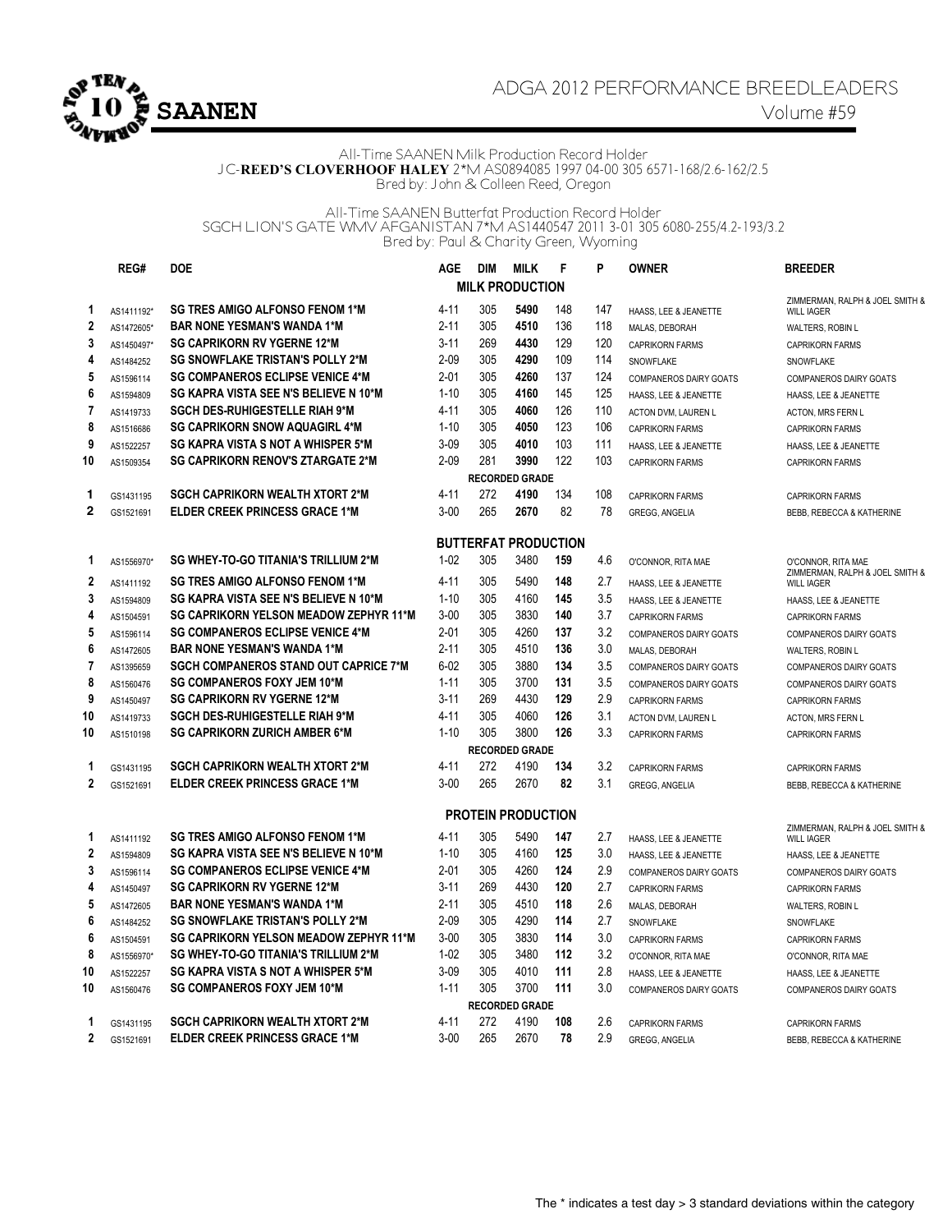

## ADGA 2012 PERFORMANCE BREEDLEADERS

#### All-Time SAANEN Milk Production Record Holder JC-**REED'S CLOVERHOOF HALEY** 2\*M AS0894085 1997 04-00 305 6571-168/2.6-162/2.5 Bred by: John & Colleen Reed, Oregon

All-Time SAANEN Butterfat Production Record Holder SGCH LION'S GATE WMV AFGANISTAN 7\*M AS1440547 2011 3-01 305 6080-255/4.2-193/3.2 Bred by: Paul & Charity Green, Wyoming

|                        | REG#                    | <b>DOE</b>                                    | <b>AGE</b> | DIM | <b>MILK</b>                 | F   | P   | <b>OWNER</b>                                           | <b>BREEDER</b>                                         |  |  |
|------------------------|-------------------------|-----------------------------------------------|------------|-----|-----------------------------|-----|-----|--------------------------------------------------------|--------------------------------------------------------|--|--|
| <b>MILK PRODUCTION</b> |                         |                                               |            |     |                             |     |     |                                                        |                                                        |  |  |
| $\mathbf{1}$           | AS1411192*              | <b>SG TRES AMIGO ALFONSO FENOM 1*M</b>        | $4 - 11$   | 305 | 5490                        | 148 | 147 | HAASS, LEE & JEANETTE                                  | ZIMMERMAN, RALPH & JOEL SMITH &<br><b>WILL IAGER</b>   |  |  |
| $\mathbf 2$            | AS1472605*              | <b>BAR NONE YESMAN'S WANDA 1*M</b>            | $2 - 11$   | 305 | 4510                        | 136 | 118 | MALAS, DEBORAH                                         | <b>WALTERS, ROBIN L</b>                                |  |  |
| 3                      | AS1450497*              | <b>SG CAPRIKORN RV YGERNE 12*M</b>            | $3 - 11$   | 269 | 4430                        | 129 | 120 | <b>CAPRIKORN FARMS</b>                                 | <b>CAPRIKORN FARMS</b>                                 |  |  |
| 4                      | AS1484252               | <b>SG SNOWFLAKE TRISTAN'S POLLY 2*M</b>       | $2 - 09$   | 305 | 4290                        | 109 | 114 | SNOWFLAKE                                              | SNOWFLAKE                                              |  |  |
| 5                      | AS1596114               | <b>SG COMPANEROS ECLIPSE VENICE 4*M</b>       | $2 - 01$   | 305 | 4260                        | 137 | 124 | <b>COMPANEROS DAIRY GOATS</b>                          | COMPANEROS DAIRY GOATS                                 |  |  |
| 6                      | AS1594809               | SG KAPRA VISTA SEE N'S BELIEVE N 10*M         | $1 - 10$   | 305 | 4160                        | 145 | 125 | HAASS. LEE & JEANETTE                                  | HAASS. LEE & JEANETTE                                  |  |  |
| $\overline{7}$         | AS1419733               | <b>SGCH DES-RUHIGESTELLE RIAH 9*M</b>         | $4 - 11$   | 305 | 4060                        | 126 | 110 | ACTON DVM, LAUREN L                                    | ACTON, MRS FERN L                                      |  |  |
| 8                      | AS1516686               | SG CAPRIKORN SNOW AQUAGIRL 4*M                | $1 - 10$   | 305 | 4050                        | 123 | 106 | <b>CAPRIKORN FARMS</b>                                 | <b>CAPRIKORN FARMS</b>                                 |  |  |
| 9                      | AS1522257               | SG KAPRA VISTA S NOT A WHISPER 5*M            | $3 - 09$   | 305 | 4010                        | 103 | 111 | HAASS, LEE & JEANETTE                                  | HAASS, LEE & JEANETTE                                  |  |  |
| 10                     | AS1509354               | <b>SG CAPRIKORN RENOV'S ZTARGATE 2*M</b>      | $2 - 09$   | 281 | 3990                        | 122 | 103 | <b>CAPRIKORN FARMS</b>                                 | <b>CAPRIKORN FARMS</b>                                 |  |  |
|                        |                         |                                               |            |     | <b>RECORDED GRADE</b>       |     |     |                                                        |                                                        |  |  |
| 1                      | GS1431195               | <b>SGCH CAPRIKORN WEALTH XTORT 2*M</b>        | $4 - 11$   | 272 | 4190                        | 134 | 108 | <b>CAPRIKORN FARMS</b>                                 | <b>CAPRIKORN FARMS</b>                                 |  |  |
| $\mathbf 2$            | GS1521691               | <b>ELDER CREEK PRINCESS GRACE 1*M</b>         | $3 - 00$   | 265 | 2670                        | 82  | 78  | <b>GREGG, ANGELIA</b>                                  | BEBB, REBECCA & KATHERINE                              |  |  |
|                        |                         |                                               |            |     |                             |     |     |                                                        |                                                        |  |  |
|                        |                         |                                               |            |     | <b>BUTTERFAT PRODUCTION</b> |     |     |                                                        |                                                        |  |  |
| 1                      | AS1556970*              | <b>SG WHEY-TO-GO TITANIA'S TRILLIUM 2*M</b>   | $1 - 02$   | 305 | 3480                        | 159 | 4.6 | O'CONNOR, RITA MAE                                     | O'CONNOR, RITA MAE                                     |  |  |
| $\mathbf 2$            | AS1411192               | <b>SG TRES AMIGO ALFONSO FENOM 1*M</b>        | $4 - 11$   | 305 | 5490                        | 148 | 2.7 |                                                        | ZIMMERMAN, RALPH & JOEL SMITH &                        |  |  |
| 3                      |                         | SG KAPRA VISTA SEE N'S BELIEVE N 10*M         | $1 - 10$   | 305 | 4160                        | 145 | 3.5 | HAASS, LEE & JEANETTE                                  | <b>WILL IAGER</b>                                      |  |  |
| 4                      | AS1594809<br>AS1504591  | <b>SG CAPRIKORN YELSON MEADOW ZEPHYR 11*M</b> | $3 - 00$   | 305 | 3830                        | 140 | 3.7 | HAASS, LEE & JEANETTE<br><b>CAPRIKORN FARMS</b>        | HAASS, LEE & JEANETTE<br><b>CAPRIKORN FARMS</b>        |  |  |
| 5                      |                         | <b>SG COMPANEROS ECLIPSE VENICE 4*M</b>       | $2 - 01$   | 305 | 4260                        | 137 | 3.2 |                                                        |                                                        |  |  |
| $6\phantom{1}6$        | AS1596114<br>AS1472605  | <b>BAR NONE YESMAN'S WANDA 1*M</b>            | $2 - 11$   | 305 | 4510                        | 136 | 3.0 | <b>COMPANEROS DAIRY GOATS</b>                          | COMPANEROS DAIRY GOATS                                 |  |  |
| $\overline{7}$         | AS1395659               | <b>SGCH COMPANEROS STAND OUT CAPRICE 7*M</b>  | $6 - 02$   | 305 | 3880                        | 134 | 3.5 | MALAS, DEBORAH<br><b>COMPANEROS DAIRY GOATS</b>        | <b>WALTERS, ROBIN L</b><br>COMPANEROS DAIRY GOATS      |  |  |
| 8                      | AS1560476               | <b>SG COMPANEROS FOXY JEM 10*M</b>            | $1 - 11$   | 305 | 3700                        | 131 | 3.5 | COMPANEROS DAIRY GOATS                                 |                                                        |  |  |
| 9                      | AS1450497               | <b>SG CAPRIKORN RV YGERNE 12*M</b>            | $3 - 11$   | 269 | 4430                        | 129 | 2.9 | <b>CAPRIKORN FARMS</b>                                 | COMPANEROS DAIRY GOATS                                 |  |  |
| 10                     | AS1419733               | <b>SGCH DES-RUHIGESTELLE RIAH 9*M</b>         | $4 - 11$   | 305 | 4060                        | 126 | 3.1 | ACTON DVM, LAUREN L                                    | <b>CAPRIKORN FARMS</b>                                 |  |  |
| 10                     | AS1510198               | <b>SG CAPRIKORN ZURICH AMBER 6*M</b>          | $1 - 10$   | 305 | 3800                        | 126 | 3.3 | <b>CAPRIKORN FARMS</b>                                 | ACTON, MRS FERN L<br><b>CAPRIKORN FARMS</b>            |  |  |
|                        |                         |                                               |            |     | <b>RECORDED GRADE</b>       |     |     |                                                        |                                                        |  |  |
| 1                      | GS1431195               | <b>SGCH CAPRIKORN WEALTH XTORT 2*M</b>        | $4 - 11$   | 272 | 4190                        | 134 | 3.2 | <b>CAPRIKORN FARMS</b>                                 | <b>CAPRIKORN FARMS</b>                                 |  |  |
| $\overline{2}$         | GS1521691               | <b>ELDER CREEK PRINCESS GRACE 1*M</b>         | $3 - 00$   | 265 | 2670                        | 82  | 3.1 | GREGG, ANGELIA                                         | BEBB, REBECCA & KATHERINE                              |  |  |
|                        |                         |                                               |            |     |                             |     |     |                                                        |                                                        |  |  |
|                        |                         |                                               |            |     | <b>PROTEIN PRODUCTION</b>   |     |     |                                                        |                                                        |  |  |
| 1                      | AS1411192               | <b>SG TRES AMIGO ALFONSO FENOM 1*M</b>        | $4 - 11$   | 305 | 5490                        | 147 | 2.7 |                                                        | ZIMMERMAN, RALPH & JOEL SMITH &                        |  |  |
| $\mathbf{2}$           |                         | SG KAPRA VISTA SEE N'S BELIEVE N 10*M         | $1 - 10$   | 305 | 4160                        | 125 | 3.0 | HAASS, LEE & JEANETTE                                  | <b>WILL IAGER</b>                                      |  |  |
| 3                      | AS1594809<br>AS1596114  | <b>SG COMPANEROS ECLIPSE VENICE 4*M</b>       | $2 - 01$   | 305 | 4260                        | 124 | 2.9 | HAASS, LEE & JEANETTE<br><b>COMPANEROS DAIRY GOATS</b> | HAASS, LEE & JEANETTE<br><b>COMPANEROS DAIRY GOATS</b> |  |  |
| 4                      | AS1450497               | <b>SG CAPRIKORN RV YGERNE 12*M</b>            | $3 - 11$   | 269 | 4430                        | 120 | 2.7 |                                                        |                                                        |  |  |
| 5                      | AS1472605               | <b>BAR NONE YESMAN'S WANDA 1*M</b>            | $2 - 11$   | 305 | 4510                        | 118 | 2.6 | <b>CAPRIKORN FARMS</b>                                 | <b>CAPRIKORN FARMS</b>                                 |  |  |
| 6                      |                         | <b>SG SNOWFLAKE TRISTAN'S POLLY 2*M</b>       | $2 - 09$   | 305 | 4290                        | 114 | 2.7 | MALAS, DEBORAH                                         | <b>WALTERS, ROBIN L</b>                                |  |  |
| 6                      | AS1484252               | <b>SG CAPRIKORN YELSON MEADOW ZEPHYR 11*M</b> | $3 - 00$   | 305 | 3830                        | 114 | 3.0 | SNOWFLAKE                                              | SNOWFLAKE                                              |  |  |
| 8                      | AS1504591<br>AS1556970* | SG WHEY-TO-GO TITANIA'S TRILLIUM 2*M          | $1 - 02$   | 305 | 3480                        | 112 | 3.2 | <b>CAPRIKORN FARMS</b>                                 | <b>CAPRIKORN FARMS</b>                                 |  |  |
| 10                     |                         | <b>SG KAPRA VISTA S NOT A WHISPER 5*M</b>     | $3 - 09$   | 305 | 4010                        | 111 | 2.8 | O'CONNOR, RITA MAE                                     | O'CONNOR, RITA MAE                                     |  |  |
| 10                     | AS1522257               | <b>SG COMPANEROS FOXY JEM 10*M</b>            | $1 - 11$   | 305 | 3700                        | 111 | 3.0 | HAASS. LEE & JEANETTE                                  | HAASS. LEE & JEANETTE                                  |  |  |
|                        | AS1560476               |                                               |            |     | <b>RECORDED GRADE</b>       |     |     | <b>COMPANEROS DAIRY GOATS</b>                          | <b>COMPANEROS DAIRY GOATS</b>                          |  |  |
| 1                      |                         | <b>SGCH CAPRIKORN WEALTH XTORT 2*M</b>        | $4 - 11$   | 272 | 4190                        | 108 | 2.6 |                                                        |                                                        |  |  |
| $\mathbf 2$            | GS1431195               | ELDER CREEK PRINCESS GRACE 1*M                | $3 - 00$   | 265 | 2670                        | 78  | 2.9 | <b>CAPRIKORN FARMS</b>                                 | <b>CAPRIKORN FARMS</b>                                 |  |  |
|                        | GS1521691               |                                               |            |     |                             |     |     | <b>GREGG, ANGELIA</b>                                  | BEBB, REBECCA & KATHERINE                              |  |  |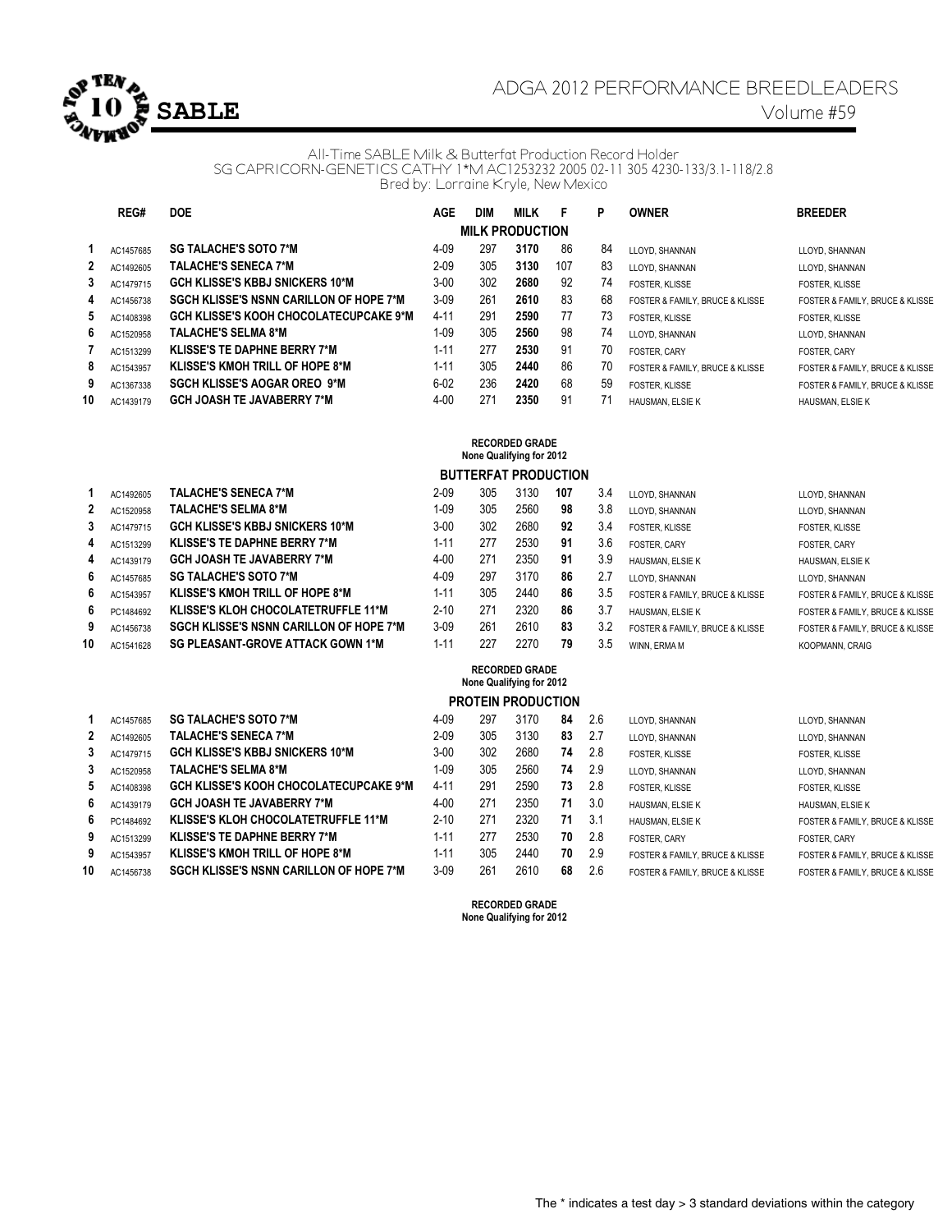

# ADGA 2012 PERFORMANCE BREEDLEADERS

#### All-Time SABLE Milk & Butterfat Production Record Holder SG CAPRICORN-GENETICS CATHY 1\*M AC1253232 2005 02-11 305 4230-133/3.1-118/2.8 Bred by: Lorraine Kryle, New Mexico

|    | REG#                   | <b>DOE</b>                                     | <b>AGE</b> | <b>DIM</b> | <b>MILK</b>                                       | F   | P   | <b>OWNER</b>                    | <b>BREEDER</b>                  |  |  |  |  |
|----|------------------------|------------------------------------------------|------------|------------|---------------------------------------------------|-----|-----|---------------------------------|---------------------------------|--|--|--|--|
|    | <b>MILK PRODUCTION</b> |                                                |            |            |                                                   |     |     |                                 |                                 |  |  |  |  |
| 1  | AC1457685              | <b>SG TALACHE'S SOTO 7*M</b>                   | $4 - 09$   | 297        | 3170                                              | 86  | 84  | LLOYD, SHANNAN                  | LLOYD, SHANNAN                  |  |  |  |  |
| 2  | AC1492605              | <b>TALACHE'S SENECA 7*M</b>                    | $2 - 09$   | 305        | 3130                                              | 107 | 83  | LLOYD, SHANNAN                  | LLOYD, SHANNAN                  |  |  |  |  |
| 3  | AC1479715              | GCH KLISSE'S KBBJ SNICKERS 10*M                | $3 - 00$   | 302        | 2680                                              | 92  | 74  | FOSTER, KLISSE                  | FOSTER, KLISSE                  |  |  |  |  |
| 4  | AC1456738              | <b>SGCH KLISSE'S NSNN CARILLON OF HOPE 7*M</b> | $3-09$     | 261        | 2610                                              | 83  | 68  | FOSTER & FAMILY, BRUCE & KLISSE | FOSTER & FAMILY, BRUCE & KLISSE |  |  |  |  |
| 5  | AC1408398              | GCH KLISSE'S KOOH CHOCOLATECUPCAKE 9*M         | $4 - 11$   | 291        | 2590                                              | 77  | 73  | <b>FOSTER, KLISSE</b>           | FOSTER, KLISSE                  |  |  |  |  |
| 6  | AC1520958              | <b>TALACHE'S SELMA 8*M</b>                     | $1 - 09$   | 305        | 2560                                              | 98  | 74  | LLOYD, SHANNAN                  | LLOYD, SHANNAN                  |  |  |  |  |
| 7  | AC1513299              | <b>KLISSE'S TE DAPHNE BERRY 7*M</b>            | $1 - 11$   | 277        | 2530                                              | 91  | 70  | FOSTER, CARY                    | FOSTER, CARY                    |  |  |  |  |
| 8  | AC1543957              | <b>KLISSE'S KMOH TRILL OF HOPE 8*M</b>         | $1 - 11$   | 305        | 2440                                              | 86  | 70  | FOSTER & FAMILY, BRUCE & KLISSE | FOSTER & FAMILY, BRUCE & KLISSE |  |  |  |  |
| 9  | AC1367338              | <b>SGCH KLISSE'S AOGAR OREO 9*M</b>            | $6 - 02$   | 236        | 2420                                              | 68  | 59  | FOSTER, KLISSE                  | FOSTER & FAMILY, BRUCE & KLISSE |  |  |  |  |
| 10 | AC1439179              | <b>GCH JOASH TE JAVABERRY 7*M</b>              | $4 - 00$   | 271        | 2350                                              | 91  | 71  | HAUSMAN, ELSIE K                | HAUSMAN, ELSIE K                |  |  |  |  |
|    |                        |                                                |            |            | <b>RECORDED GRADE</b>                             |     |     |                                 |                                 |  |  |  |  |
|    |                        |                                                |            |            | None Qualifying for 2012                          |     |     |                                 |                                 |  |  |  |  |
|    |                        |                                                |            |            | <b>BUTTERFAT PRODUCTION</b>                       |     |     |                                 |                                 |  |  |  |  |
| 1  | AC1492605              | <b>TALACHE'S SENECA 7*M</b>                    | $2 - 09$   | 305        | 3130                                              | 107 | 3.4 | LLOYD, SHANNAN                  | LLOYD, SHANNAN                  |  |  |  |  |
| 2  | AC1520958              | <b>TALACHE'S SELMA 8*M</b>                     | $1 - 09$   | 305        | 2560                                              | 98  | 3.8 | LLOYD, SHANNAN                  | LLOYD, SHANNAN                  |  |  |  |  |
| 3  | AC1479715              | GCH KLISSE'S KBBJ SNICKERS 10*M                | $3 - 00$   | 302        | 2680                                              | 92  | 3.4 | FOSTER, KLISSE                  | FOSTER, KLISSE                  |  |  |  |  |
| 4  | AC1513299              | <b>KLISSE'S TE DAPHNE BERRY 7*M</b>            | $1 - 11$   | 277        | 2530                                              | 91  | 3.6 | FOSTER, CARY                    | FOSTER, CARY                    |  |  |  |  |
| 4  | AC1439179              | <b>GCH JOASH TE JAVABERRY 7*M</b>              | $4 - 00$   | 271        | 2350                                              | 91  | 3.9 | HAUSMAN, ELSIE K                | HAUSMAN, ELSIE K                |  |  |  |  |
| 6  | AC1457685              | <b>SG TALACHE'S SOTO 7*M</b>                   | $4 - 09$   | 297        | 3170                                              | 86  | 2.7 | LLOYD, SHANNAN                  | LLOYD, SHANNAN                  |  |  |  |  |
| 6  | AC1543957              | <b>KLISSE'S KMOH TRILL OF HOPE 8*M</b>         | $1 - 11$   | 305        | 2440                                              | 86  | 3.5 | FOSTER & FAMILY, BRUCE & KLISSE | FOSTER & FAMILY, BRUCE & KLISSE |  |  |  |  |
| 6  | PC1484692              | KLISSE'S KLOH CHOCOLATETRUFFLE 11*M            | $2 - 10$   | 271        | 2320                                              | 86  | 3.7 | HAUSMAN, ELSIE K                | FOSTER & FAMILY, BRUCE & KLISSE |  |  |  |  |
| 9  | AC1456738              | <b>SGCH KLISSE'S NSNN CARILLON OF HOPE 7*M</b> | $3 - 09$   | 261        | 2610                                              | 83  | 3.2 | FOSTER & FAMILY, BRUCE & KLISSE | FOSTER & FAMILY, BRUCE & KLISSE |  |  |  |  |
| 10 | AC1541628              | <b>SG PLEASANT-GROVE ATTACK GOWN 1*M</b>       | $1 - 11$   | 227        | 2270                                              | 79  | 3.5 | WINN, ERMA M                    | KOOPMANN, CRAIG                 |  |  |  |  |
|    |                        |                                                |            |            | <b>RECORDED GRADE</b><br>None Qualifying for 2012 |     |     |                                 |                                 |  |  |  |  |
|    |                        |                                                |            |            | <b>PROTEIN PRODUCTION</b>                         |     |     |                                 |                                 |  |  |  |  |
| 1  | AC1457685              | <b>SG TALACHE'S SOTO 7*M</b>                   | $4 - 09$   | 297        | 3170                                              | 84  | 2.6 | LLOYD, SHANNAN                  | LLOYD, SHANNAN                  |  |  |  |  |
| 2  | AC1492605              | <b>TALACHE'S SENECA 7*M</b>                    | $2 - 09$   | 305        | 3130                                              | 83  | 2.7 | LLOYD, SHANNAN                  | LLOYD, SHANNAN                  |  |  |  |  |
| 3  | AC1479715              | GCH KLISSE'S KBBJ SNICKERS 10*M                | $3-00$     | 302        | 2680                                              | 74  | 2.8 | FOSTER, KLISSE                  | FOSTER, KLISSE                  |  |  |  |  |
| 3  | AC1520958              | <b>TALACHE'S SELMA 8*M</b>                     | $1 - 09$   | 305        | 2560                                              | 74  | 2.9 | LLOYD, SHANNAN                  | LLOYD, SHANNAN                  |  |  |  |  |
| 5  | AC1408398              | <b>GCH KLISSE'S KOOH CHOCOLATECUPCAKE 9*M</b>  | $4 - 11$   | 291        | 2590                                              | 73  | 2.8 | FOSTER, KLISSE                  | FOSTER, KLISSE                  |  |  |  |  |
| 6  | AC1439179              | <b>GCH JOASH TE JAVABERRY 7*M</b>              | $4 - 00$   | 271        | 2350                                              | 71  | 3.0 | HAUSMAN, ELSIE K                | HAUSMAN, ELSIE K                |  |  |  |  |
| 6  | PC1484692              | KLISSE'S KLOH CHOCOLATETRUFFLE 11*M            | $2 - 10$   | 271        | 2320                                              | 71  | 3.1 | HAUSMAN, ELSIE K                | FOSTER & FAMILY, BRUCE & KLISSE |  |  |  |  |
| 9  | AC1513299              | <b>KLISSE'S TE DAPHNE BERRY 7*M</b>            | $1 - 11$   | 277        | 2530                                              | 70  | 2.8 | FOSTER, CARY                    | FOSTER, CARY                    |  |  |  |  |
| 9  | AC1543957              | <b>KLISSE'S KMOH TRILL OF HOPE 8*M</b>         | $1 - 11$   | 305        | 2440                                              | 70  | 2.9 | FOSTER & FAMILY, BRUCE & KLISSE | FOSTER & FAMILY, BRUCE & KLISSE |  |  |  |  |
| 10 | AC1456738              | SGCH KLISSE'S NSNN CARILLON OF HOPE 7*M        | 3-09       | 261        | 2610                                              | 68  | 2.6 | FOSTER & FAMILY, BRUCE & KLISSE | FOSTER & FAMILY, BRUCE & KLISSE |  |  |  |  |

**RECORDED GRADE None Qualifying for 2012**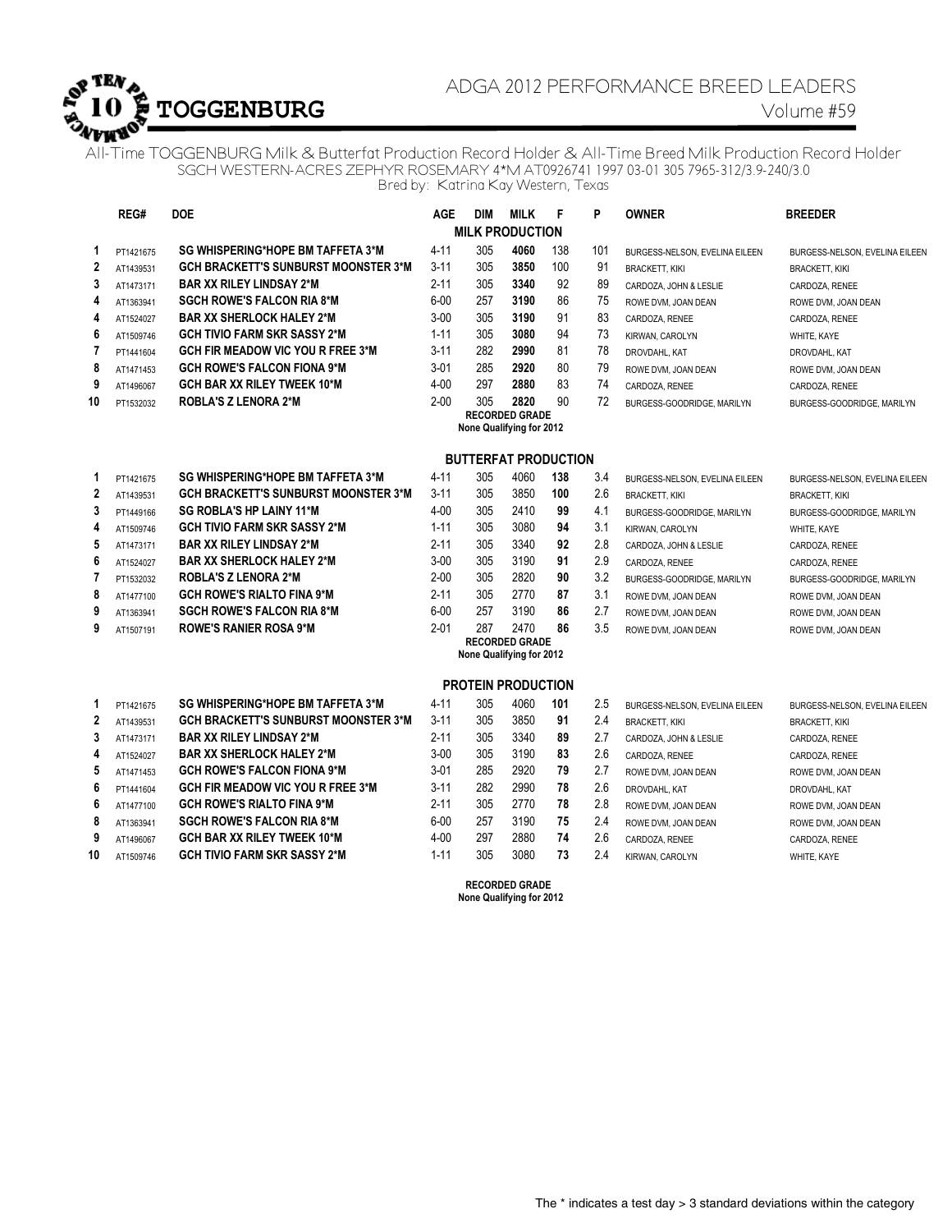

# ADGA 2012 PERFORMANCE BREED LEADERS **TOGGENBURG** Volume #59

All-Time TOGGENBURG Milk & Butterfat Production Record Holder & All-Time Breed Milk Production Record Holder SGCH WESTERN-ACRES ZEPHYR ROSEMARY 4\*M AT0926741 1997 03-01 305 7965-312/3.9-240/3.0 Bred by: Katrina Kay Western, Texas

|                        | REG#      | <b>DOE</b>                                  | <b>AGE</b> | <b>DIM</b> | <b>MILK</b>                                       | F   | P   | <b>OWNER</b>                   | <b>BREEDER</b>                 |  |  |
|------------------------|-----------|---------------------------------------------|------------|------------|---------------------------------------------------|-----|-----|--------------------------------|--------------------------------|--|--|
| <b>MILK PRODUCTION</b> |           |                                             |            |            |                                                   |     |     |                                |                                |  |  |
| 1                      | PT1421675 | SG WHISPERING*HOPE BM TAFFETA 3*M           | $4 - 11$   | 305        | 4060                                              | 138 | 101 | BURGESS-NELSON, EVELINA EILEEN | BURGESS-NELSON, EVELINA EILEEN |  |  |
| 2                      | AT1439531 | <b>GCH BRACKETT'S SUNBURST MOONSTER 3*M</b> | $3 - 11$   | 305        | 3850                                              | 100 | 91  | <b>BRACKETT, KIKI</b>          | <b>BRACKETT, KIKI</b>          |  |  |
| 3                      | AT1473171 | <b>BAR XX RILEY LINDSAY 2*M</b>             | $2 - 11$   | 305        | 3340                                              | 92  | 89  | CARDOZA, JOHN & LESLIE         | CARDOZA, RENEE                 |  |  |
| 4                      | AT1363941 | <b>SGCH ROWE'S FALCON RIA 8*M</b>           | $6 - 00$   | 257        | 3190                                              | 86  | 75  | ROWE DVM, JOAN DEAN            | ROWE DVM, JOAN DEAN            |  |  |
| 4                      | AT1524027 | <b>BAR XX SHERLOCK HALEY 2*M</b>            | $3 - 00$   | 305        | 3190                                              | 91  | 83  | CARDOZA, RENEE                 | CARDOZA, RENEE                 |  |  |
| 6                      | AT1509746 | <b>GCH TIVIO FARM SKR SASSY 2*M</b>         | $1 - 11$   | 305        | 3080                                              | 94  | 73  | KIRWAN, CAROLYN                | WHITE, KAYE                    |  |  |
| 7                      | PT1441604 | <b>GCH FIR MEADOW VIC YOU R FREE 3*M</b>    | $3 - 11$   | 282        | 2990                                              | 81  | 78  | DROVDAHL, KAT                  | DROVDAHL, KAT                  |  |  |
| 8                      | AT1471453 | <b>GCH ROWE'S FALCON FIONA 9*M</b>          | $3 - 01$   | 285        | 2920                                              | 80  | 79  | ROWE DVM, JOAN DEAN            | ROWE DVM, JOAN DEAN            |  |  |
| 9                      | AT1496067 | <b>GCH BAR XX RILEY TWEEK 10*M</b>          | $4 - 00$   | 297        | 2880                                              | 83  | 74  | CARDOZA, RENEE                 | CARDOZA, RENEE                 |  |  |
| 10                     | PT1532032 | <b>ROBLA'S Z LENORA 2*M</b>                 | $2 - 00$   | 305        | 2820                                              | 90  | 72  | BURGESS-GOODRIDGE, MARILYN     | BURGESS-GOODRIDGE, MARILYN     |  |  |
|                        |           |                                             |            |            | <b>RECORDED GRADE</b><br>None Qualifying for 2012 |     |     |                                |                                |  |  |
|                        |           |                                             |            |            |                                                   |     |     |                                |                                |  |  |
|                        |           |                                             |            |            | <b>BUTTERFAT PRODUCTION</b>                       |     |     |                                |                                |  |  |
| 1                      | PT1421675 | <b>SG WHISPERING*HOPE BM TAFFETA 3*M</b>    | $4 - 11$   | 305        | 4060                                              | 138 | 3.4 | BURGESS-NELSON, EVELINA EILEEN | BURGESS-NELSON, EVELINA EILEEN |  |  |
| $\mathbf{2}$           | AT1439531 | <b>GCH BRACKETT'S SUNBURST MOONSTER 3*M</b> | $3 - 11$   | 305        | 3850                                              | 100 | 2.6 | <b>BRACKETT, KIKI</b>          | <b>BRACKETT, KIKI</b>          |  |  |
| 3                      | PT1449166 | <b>SG ROBLA'S HP LAINY 11*M</b>             | $4 - 00$   | 305        | 2410                                              | 99  | 4.1 | BURGESS-GOODRIDGE, MARILYN     | BURGESS-GOODRIDGE, MARILYN     |  |  |
| 4                      | AT1509746 | <b>GCH TIVIO FARM SKR SASSY 2*M</b>         | $1 - 11$   | 305        | 3080                                              | 94  | 3.1 | KIRWAN, CAROLYN                | WHITE, KAYE                    |  |  |
| 5                      | AT1473171 | <b>BAR XX RILEY LINDSAY 2*M</b>             | $2 - 11$   | 305        | 3340                                              | 92  | 2.8 | CARDOZA, JOHN & LESLIE         | CARDOZA, RENEE                 |  |  |
| 6                      | AT1524027 | <b>BAR XX SHERLOCK HALEY 2*M</b>            | $3 - 00$   | 305        | 3190                                              | 91  | 2.9 | CARDOZA, RENEE                 | CARDOZA, RENEE                 |  |  |
| $\overline{7}$         | PT1532032 | <b>ROBLA'S Z LENORA 2*M</b>                 | $2 - 00$   | 305        | 2820                                              | 90  | 3.2 | BURGESS-GOODRIDGE, MARILYN     | BURGESS-GOODRIDGE, MARILYN     |  |  |
| 8                      | AT1477100 | <b>GCH ROWE'S RIALTO FINA 9*M</b>           | $2 - 11$   | 305        | 2770                                              | 87  | 3.1 | ROWE DVM, JOAN DEAN            | ROWE DVM, JOAN DEAN            |  |  |
| 9                      | AT1363941 | <b>SGCH ROWE'S FALCON RIA 8*M</b>           | $6 - 00$   | 257        | 3190                                              | 86  | 2.7 | ROWE DVM, JOAN DEAN            | ROWE DVM, JOAN DEAN            |  |  |
| 9                      | AT1507191 | <b>ROWE'S RANIER ROSA 9*M</b>               | $2 - 01$   | 287        | 2470                                              | 86  | 3.5 | ROWE DVM, JOAN DEAN            | ROWE DVM, JOAN DEAN            |  |  |
|                        |           |                                             |            |            | <b>RECORDED GRADE</b><br>None Qualifying for 2012 |     |     |                                |                                |  |  |
|                        |           |                                             |            |            |                                                   |     |     |                                |                                |  |  |
|                        |           |                                             |            |            | <b>PROTEIN PRODUCTION</b>                         |     |     |                                |                                |  |  |
| 1                      | PT1421675 | SG WHISPERING*HOPE BM TAFFETA 3*M           | $4 - 11$   | 305        | 4060                                              | 101 | 2.5 | BURGESS-NELSON, EVELINA EILEEN | BURGESS-NELSON, EVELINA EILEEN |  |  |
| 2                      | AT1439531 | <b>GCH BRACKETT'S SUNBURST MOONSTER 3*M</b> | $3 - 11$   | 305        | 3850                                              | 91  | 2.4 | <b>BRACKETT, KIKI</b>          | <b>BRACKETT, KIKI</b>          |  |  |
| 3                      | AT1473171 | <b>BAR XX RILEY LINDSAY 2*M</b>             | $2 - 11$   | 305        | 3340                                              | 89  | 2.7 | CARDOZA, JOHN & LESLIE         | CARDOZA, RENEE                 |  |  |
| 4                      | AT1524027 | <b>BAR XX SHERLOCK HALEY 2*M</b>            | $3 - 00$   | 305        | 3190                                              | 83  | 2.6 | CARDOZA, RENEE                 | CARDOZA, RENEE                 |  |  |
| 5                      | AT1471453 | <b>GCH ROWE'S FALCON FIONA 9*M</b>          | $3 - 01$   | 285        | 2920                                              | 79  | 2.7 | ROWE DVM, JOAN DEAN            | ROWE DVM, JOAN DEAN            |  |  |
| 6                      | PT1441604 | <b>GCH FIR MEADOW VIC YOU R FREE 3*M</b>    | $3 - 11$   | 282        | 2990                                              | 78  | 2.6 | DROVDAHL, KAT                  | DROVDAHL, KAT                  |  |  |
| 6                      | AT1477100 | <b>GCH ROWE'S RIALTO FINA 9*M</b>           | $2 - 11$   | 305        | 2770                                              | 78  | 2.8 | ROWE DVM, JOAN DEAN            | ROWE DVM, JOAN DEAN            |  |  |
| 8                      | AT1363941 | <b>SGCH ROWE'S FALCON RIA 8*M</b>           | $6 - 00$   | 257        | 3190                                              | 75  | 2.4 | ROWE DVM, JOAN DEAN            | ROWE DVM, JOAN DEAN            |  |  |
| 9                      | AT1496067 | <b>GCH BAR XX RILEY TWEEK 10*M</b>          | $4 - 00$   | 297        | 2880                                              | 74  | 2.6 | CARDOZA, RENEE                 | CARDOZA, RENEE                 |  |  |
| 10                     | AT1509746 | <b>GCH TIVIO FARM SKR SASSY 2*M</b>         | $1 - 11$   | 305        | 3080                                              | 73  | 2.4 | KIRWAN, CAROLYN                | WHITE, KAYE                    |  |  |
|                        |           |                                             |            |            | <b>RECORDED GRADE</b>                             |     |     |                                |                                |  |  |
|                        |           |                                             |            |            | None Qualifying for 2012                          |     |     |                                |                                |  |  |
|                        |           |                                             |            |            |                                                   |     |     |                                |                                |  |  |